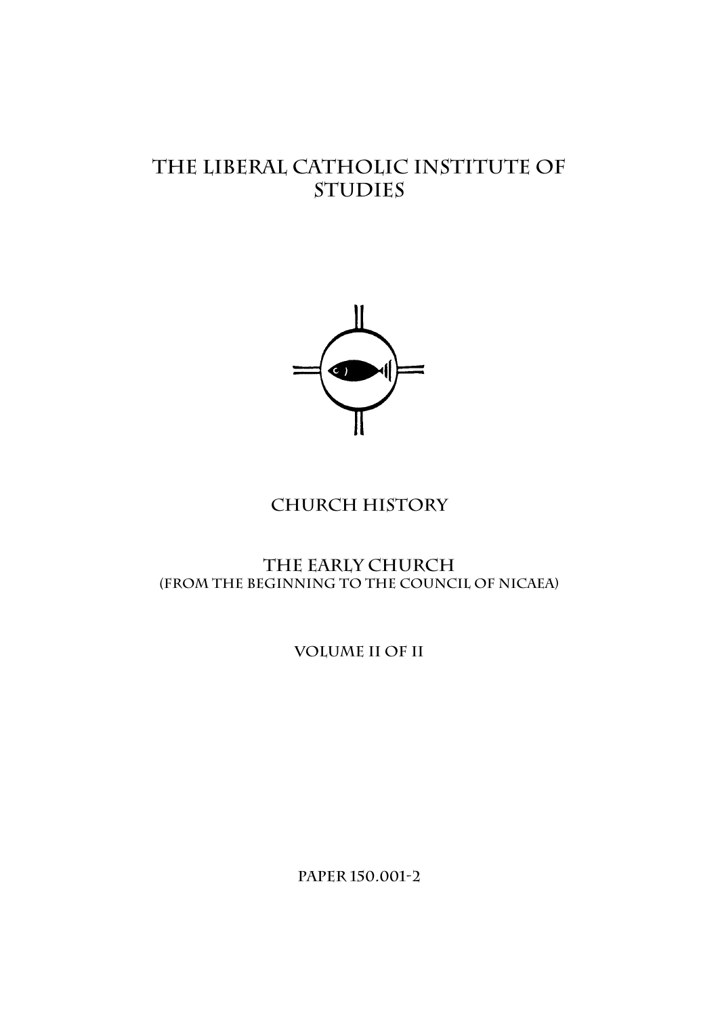# **The liberal catholic institute of studies**



# **Church history**

**THE EARLY CHURCH (From the Beginning to the Council of Nicaea)** 

**volume II of II** 

**Paper 150.001-2**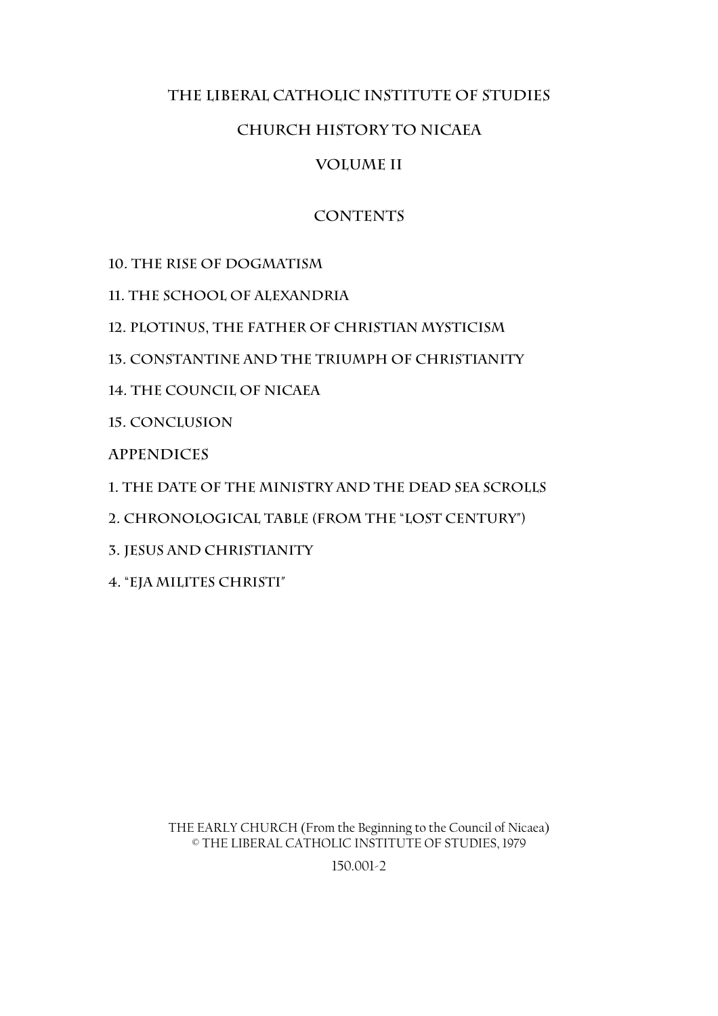# **The Liberal Catholic Institute of Studies**

# **Church history to Nicaea**

# **Volume II**

# **Contents**

**10. The Rise of Dogmatism** 

**11. The School of Alexandria** 

**12. Plotinus, the Father of Christian Mysticism** 

**13. Constantine and the Triumph of Christianity** 

**14. The Council of Nicaea** 

**15. Conclusion** 

**Appendices** 

**1. The date of the Ministry and the Dead Sea Scrolls** 

**2. Chronological Table (from the "Lost Century")** 

**3. Jesus and Christianity** 

**4. "Eja Milites Christi"** 

THE EARLY CHURCH (From the Beginning to the Council of Nicaea) © THE LIBERAL CATHOLIC INSTITUTE OF STUDIES, 1979

150.001-2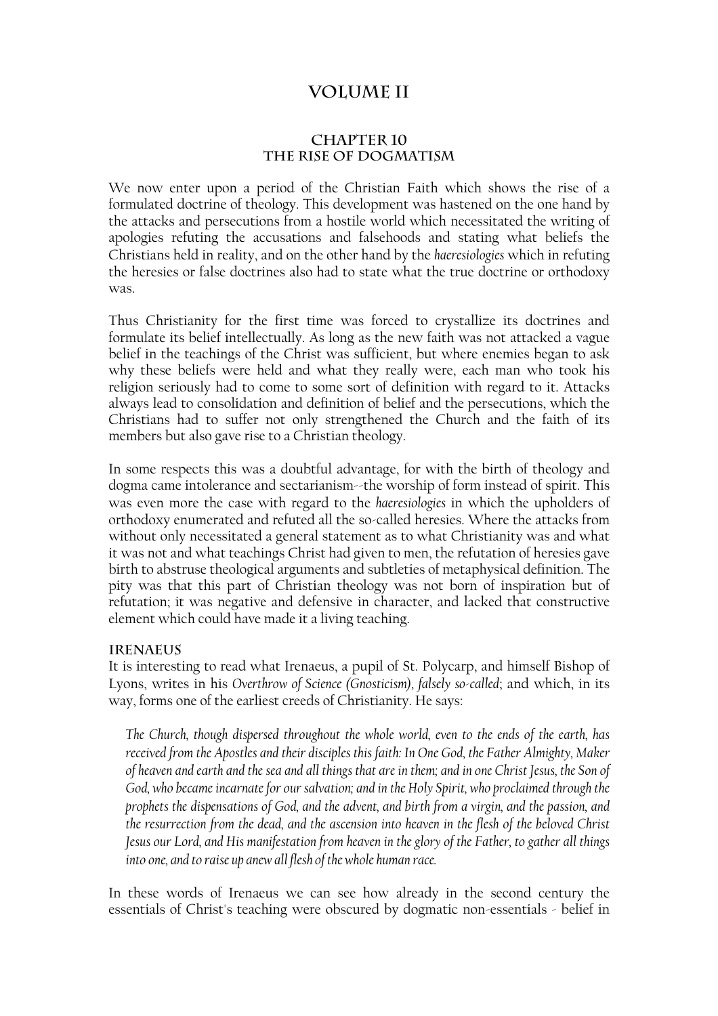# **Volume II**

### **CHAPTER 10 THE RISE OF DOGMATISM**

We now enter upon a period of the Christian Faith which shows the rise of a formulated doctrine of theology. This development was hastened on the one hand by the attacks and persecutions from a hostile world which necessitated the writing of apologies refuting the accusations and falsehoods and stating what beliefs the Christians held in reality, and on the other hand by the *haeresiologies* which in refuting the heresies or false doctrines also had to state what the true doctrine or orthodoxy was.

Thus Christianity for the first time was forced to crystallize its doctrines and formulate its belief intellectually. As long as the new faith was not attacked a vague belief in the teachings of the Christ was sufficient, but where enemies began to ask why these beliefs were held and what they really were, each man who took his religion seriously had to come to some sort of definition with regard to it. Attacks always lead to consolidation and definition of belief and the persecutions, which the Christians had to suffer not only strengthened the Church and the faith of its members but also gave rise to a Christian theology.

In some respects this was a doubtful advantage, for with the birth of theology and dogma came intolerance and sectarianism--the worship of form instead of spirit. This was even more the case with regard to the *haeresiologies* in which the upholders of orthodoxy enumerated and refuted all the so-called heresies. Where the attacks from without only necessitated a general statement as to what Christianity was and what it was not and what teachings Christ had given to men, the refutation of heresies gave birth to abstruse theological arguments and subtleties of metaphysical definition. The pity was that this part of Christian theology was not born of inspiration but of refutation; it was negative and defensive in character, and lacked that constructive element which could have made it a living teaching.

#### **Irenaeus**

It is interesting to read what Irenaeus, a pupil of St. Polycarp, and himself Bishop of Lyons, writes in his *Overthrow of Science (Gnosticism), falsely so-called*; and which, in its way, forms one of the earliest creeds of Christianity. He says:

*The Church, though dispersed throughout the whole world, even to the ends of the earth, has received from the Apostles and their disciples this faith: In One God, the Father Almighty, Maker of heaven and earth and the sea and all things that are in them; and in one Christ Jesus, the Son of God, who became incarnate for our salvation; and in the Holy Spirit, who proclaimed through the prophets the dispensations of God, and the advent, and birth from a virgin, and the passion, and the resurrection from the dead, and the ascension into heaven in the flesh of the beloved Christ Jesus our Lord, and His manifestation from heaven in the glory of the Father, to gather all things into one, and to raise up anew all flesh of the whole human race.* 

In these words of Irenaeus we can see how already in the second century the essentials of Christ's teaching were obscured by dogmatic non-essentials - belief in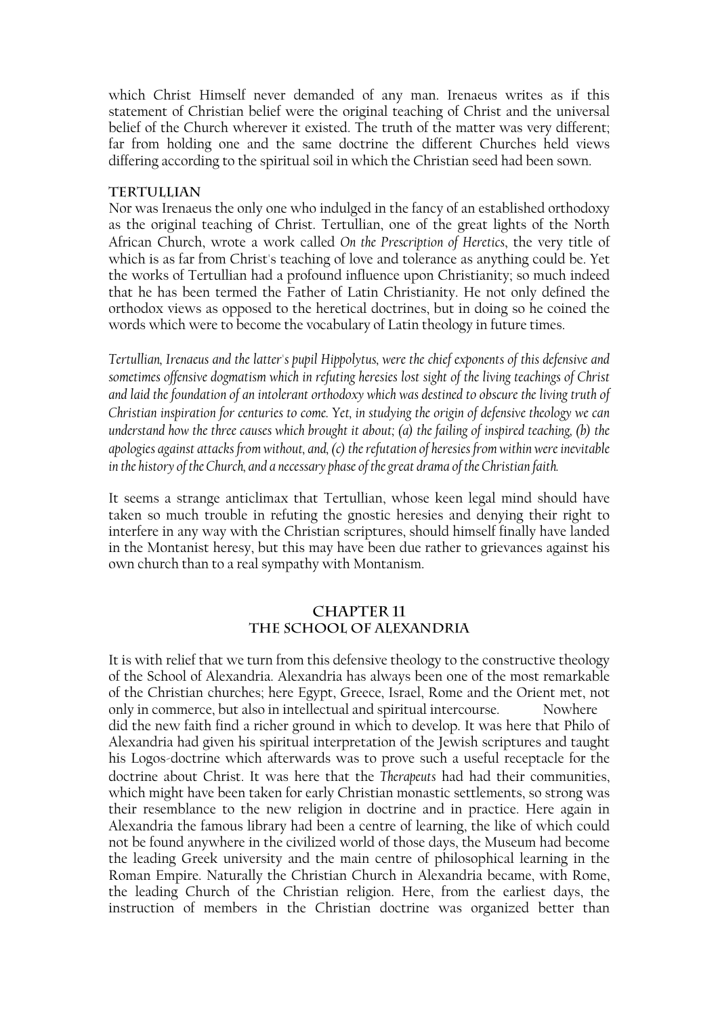which Christ Himself never demanded of any man. Irenaeus writes as if this statement of Christian belief were the original teaching of Christ and the universal belief of the Church wherever it existed. The truth of the matter was very different; far from holding one and the same doctrine the different Churches held views differing according to the spiritual soil in which the Christian seed had been sown.

#### **Tertullian**

Nor was Irenaeus the only one who indulged in the fancy of an established orthodoxy as the original teaching of Christ. Tertullian, one of the great lights of the North African Church, wrote a work called *On the Prescription of Heretics*, the very title of which is as far from Christ's teaching of love and tolerance as anything could be. Yet the works of Tertullian had a profound influence upon Christianity; so much indeed that he has been termed the Father of Latin Christianity. He not only defined the orthodox views as opposed to the heretical doctrines, but in doing so he coined the words which were to become the vocabulary of Latin theology in future times.

*Tertullian, Irenaeus and the latter's pupil Hippolytus, were the chief exponents of this defensive and sometimes offensive dogmatism which in refuting heresies lost sight of the living teachings of Christ and laid the foundation of an intolerant orthodoxy which was destined to obscure the living truth of Christian inspiration for centuries to come. Yet, in studying the origin of defensive theology we can understand how the three causes which brought it about; (a) the failing of inspired teaching, (b) the apologies against attacks from without, and, (c) the refutation of heresies from within were inevitable in the history of the Church, and a necessary phase of the great drama of the Christian faith.* 

It seems a strange anticlimax that Tertullian, whose keen legal mind should have taken so much trouble in refuting the gnostic heresies and denying their right to interfere in any way with the Christian scriptures, should himself finally have landed in the Montanist heresy, but this may have been due rather to grievances against his own church than to a real sympathy with Montanism.

#### **CHAPTER 11 THE SCHOOL OF ALEXANDRIA**

It is with relief that we turn from this defensive theology to the constructive theology of the School of Alexandria. Alexandria has always been one of the most remarkable of the Christian churches; here Egypt, Greece, Israel, Rome and the Orient met, not only in commerce, but also in intellectual and spiritual intercourse. Nowhere did the new faith find a richer ground in which to develop. It was here that Philo of Alexandria had given his spiritual interpretation of the Jewish scriptures and taught his Logos-doctrine which afterwards was to prove such a useful receptacle for the doctrine about Christ. It was here that the *Therapeuts* had had their communities, which might have been taken for early Christian monastic settlements, so strong was their resemblance to the new religion in doctrine and in practice. Here again in Alexandria the famous library had been a centre of learning, the like of which could not be found anywhere in the civilized world of those days, the Museum had become the leading Greek university and the main centre of philosophical learning in the Roman Empire. Naturally the Christian Church in Alexandria became, with Rome, the leading Church of the Christian religion. Here, from the earliest days, the instruction of members in the Christian doctrine was organized better than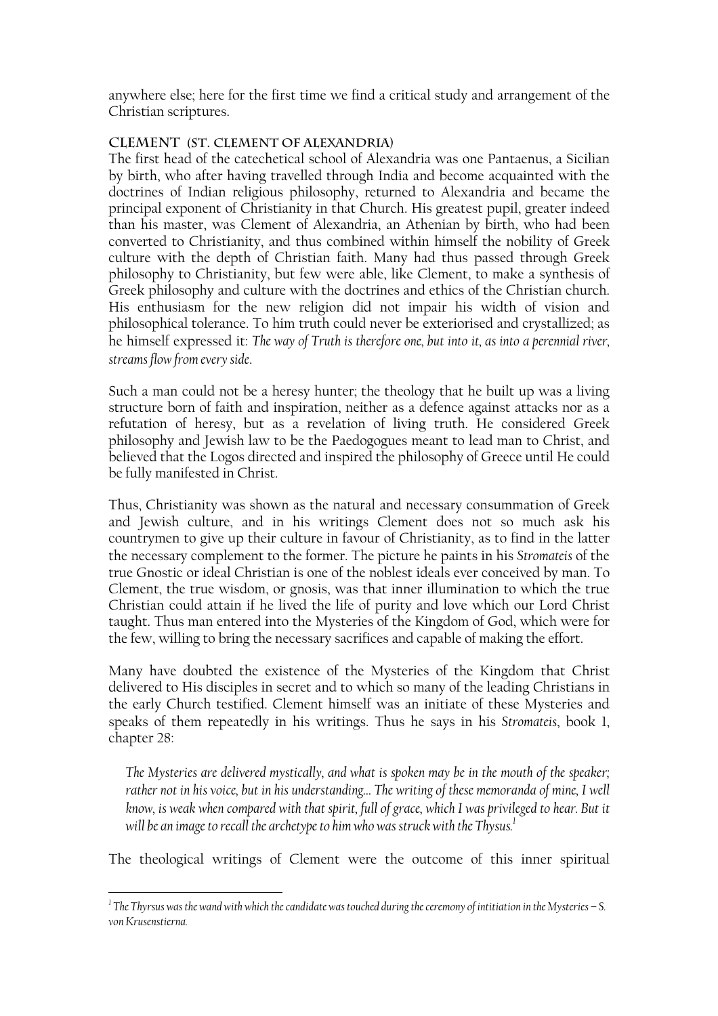anywhere else; here for the first time we find a critical study and arrangement of the Christian scriptures.

## **Clement (St. Clement of Alexandria)**

The first head of the catechetical school of Alexandria was one Pantaenus, a Sicilian by birth, who after having travelled through India and become acquainted with the doctrines of Indian religious philosophy, returned to Alexandria and became the principal exponent of Christianity in that Church. His greatest pupil, greater indeed than his master, was Clement of Alexandria, an Athenian by birth, who had been converted to Christianity, and thus combined within himself the nobility of Greek culture with the depth of Christian faith. Many had thus passed through Greek philosophy to Christianity, but few were able, like Clement, to make a synthesis of Greek philosophy and culture with the doctrines and ethics of the Christian church. His enthusiasm for the new religion did not impair his width of vision and philosophical tolerance. To him truth could never be exteriorised and crystallized; as he himself expressed it: *The way of Truth is therefore one, but into it, as into a perennial river, streams flow from every side*.

Such a man could not be a heresy hunter; the theology that he built up was a living structure born of faith and inspiration, neither as a defence against attacks nor as a refutation of heresy, but as a revelation of living truth. He considered Greek philosophy and Jewish law to be the Paedogogues meant to lead man to Christ, and believed that the Logos directed and inspired the philosophy of Greece until He could be fully manifested in Christ.

Thus, Christianity was shown as the natural and necessary consummation of Greek and Jewish culture, and in his writings Clement does not so much ask his countrymen to give up their culture in favour of Christianity, as to find in the latter the necessary complement to the former. The picture he paints in his *Stromateis* of the true Gnostic or ideal Christian is one of the noblest ideals ever conceived by man. To Clement, the true wisdom, or gnosis, was that inner illumination to which the true Christian could attain if he lived the life of purity and love which our Lord Christ taught. Thus man entered into the Mysteries of the Kingdom of God, which were for the few, willing to bring the necessary sacrifices and capable of making the effort.

Many have doubted the existence of the Mysteries of the Kingdom that Christ delivered to His disciples in secret and to which so many of the leading Christians in the early Church testified. Clement himself was an initiate of these Mysteries and speaks of them repeatedly in his writings. Thus he says in his *Stromateis*, book 1, chapter 28:

*The Mysteries are delivered mystically, and what is spoken may be in the mouth of the speaker; rather not in his voice, but in his understanding… The writing of these memoranda of mine, I well know, is weak when compared with that spirit, full of grace, which I was privileged to hear. But it will be an image to recall the archetype to him who was struck with the Thysus[.1](#page-4-0)*

The theological writings of Clement were the outcome of this inner spiritual

<span id="page-4-0"></span>*<sup>1</sup> The Thyrsus was the wand with which the candidate was touched during the ceremony of intitiation in the Mysteries – S. von Krusenstierna.*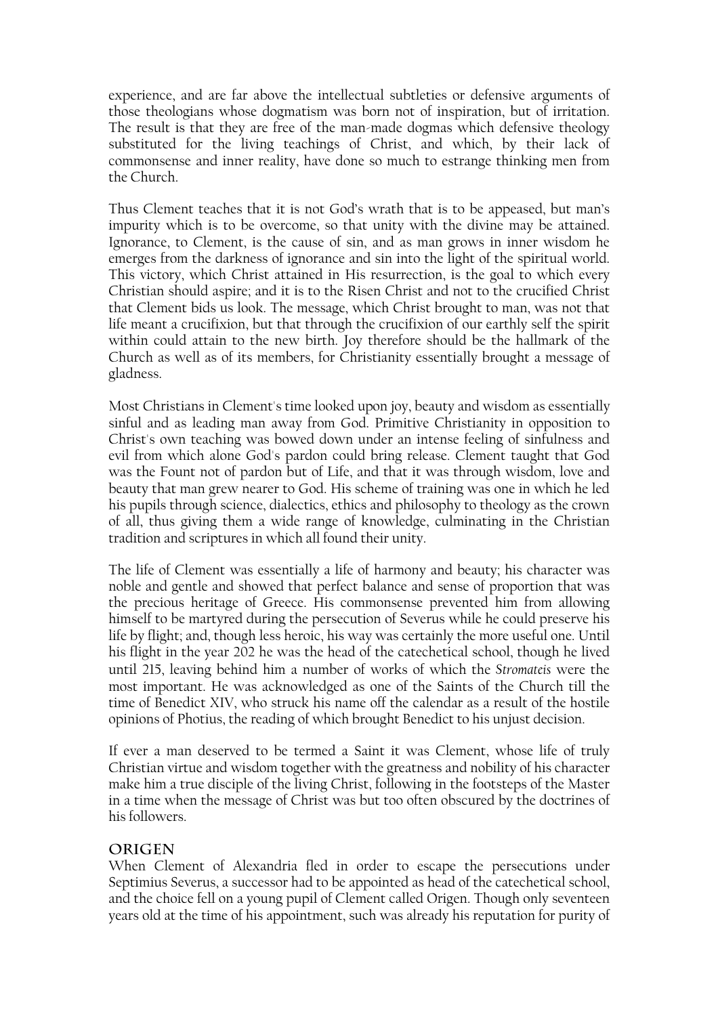experience, and are far above the intellectual subtleties or defensive arguments of those theologians whose dogmatism was born not of inspiration, but of irritation. The result is that they are free of the man-made dogmas which defensive theology substituted for the living teachings of Christ, and which, by their lack of commonsense and inner reality, have done so much to estrange thinking men from the Church.

Thus Clement teaches that it is not God's wrath that is to be appeased, but man's impurity which is to be overcome, so that unity with the divine may be attained. Ignorance, to Clement, is the cause of sin, and as man grows in inner wisdom he emerges from the darkness of ignorance and sin into the light of the spiritual world. This victory, which Christ attained in His resurrection, is the goal to which every Christian should aspire; and it is to the Risen Christ and not to the crucified Christ that Clement bids us look. The message, which Christ brought to man, was not that life meant a crucifixion, but that through the crucifixion of our earthly self the spirit within could attain to the new birth. Joy therefore should be the hallmark of the Church as well as of its members, for Christianity essentially brought a message of gladness.

Most Christians in Clement's time looked upon joy, beauty and wisdom as essentially sinful and as leading man away from God. Primitive Christianity in opposition to Christ's own teaching was bowed down under an intense feeling of sinfulness and evil from which alone God's pardon could bring release. Clement taught that God was the Fount not of pardon but of Life, and that it was through wisdom, love and beauty that man grew nearer to God. His scheme of training was one in which he led his pupils through science, dialectics, ethics and philosophy to theology as the crown of all, thus giving them a wide range of knowledge, culminating in the Christian tradition and scriptures in which all found their unity.

The life of Clement was essentially a life of harmony and beauty; his character was noble and gentle and showed that perfect balance and sense of proportion that was the precious heritage of Greece. His commonsense prevented him from allowing himself to be martyred during the persecution of Severus while he could preserve his life by flight; and, though less heroic, his way was certainly the more useful one. Until his flight in the year 202 he was the head of the catechetical school, though he lived until 215, leaving behind him a number of works of which the *Stromateis* were the most important. He was acknowledged as one of the Saints of the Church till the time of Benedict XIV, who struck his name off the calendar as a result of the hostile opinions of Photius, the reading of which brought Benedict to his unjust decision.

If ever a man deserved to be termed a Saint it was Clement, whose life of truly Christian virtue and wisdom together with the greatness and nobility of his character make him a true disciple of the living Christ, following in the footsteps of the Master in a time when the message of Christ was but too often obscured by the doctrines of his followers.

# **Origen**

When Clement of Alexandria fled in order to escape the persecutions under Septimius Severus, a successor had to be appointed as head of the catechetical school, and the choice fell on a young pupil of Clement called Origen. Though only seventeen years old at the time of his appointment, such was already his reputation for purity of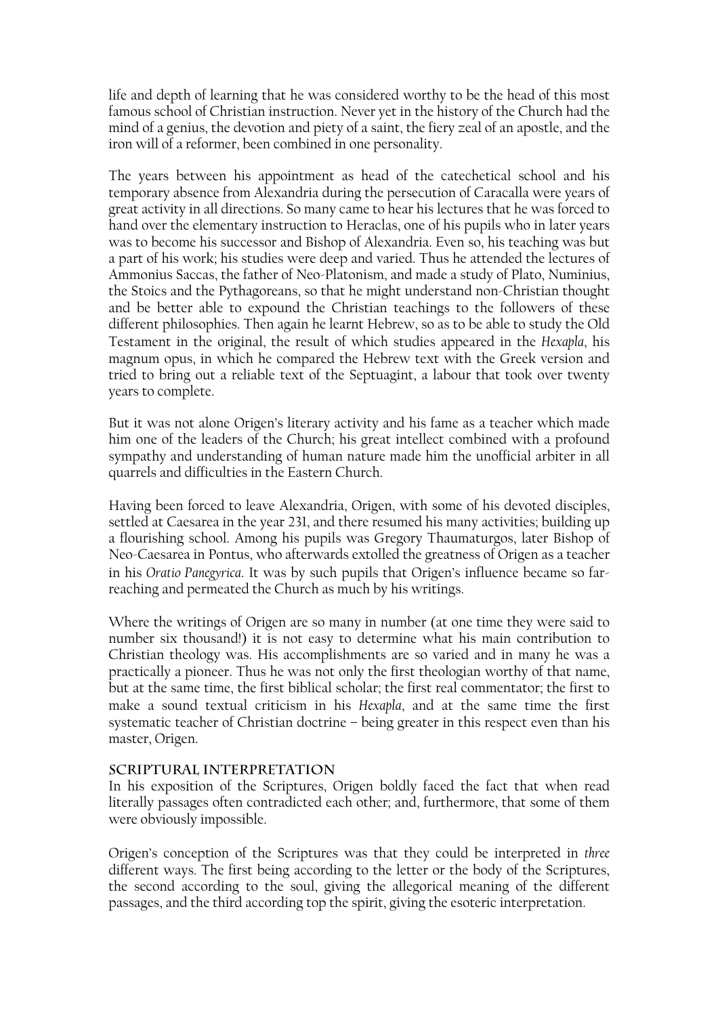life and depth of learning that he was considered worthy to be the head of this most famous school of Christian instruction. Never yet in the history of the Church had the mind of a genius, the devotion and piety of a saint, the fiery zeal of an apostle, and the iron will of a reformer, been combined in one personality.

The years between his appointment as head of the catechetical school and his temporary absence from Alexandria during the persecution of Caracalla were years of great activity in all directions. So many came to hear his lectures that he was forced to hand over the elementary instruction to Heraclas, one of his pupils who in later years was to become his successor and Bishop of Alexandria. Even so, his teaching was but a part of his work; his studies were deep and varied. Thus he attended the lectures of Ammonius Saccas, the father of Neo-Platonism, and made a study of Plato, Numinius, the Stoics and the Pythagoreans, so that he might understand non-Christian thought and be better able to expound the Christian teachings to the followers of these different philosophies. Then again he learnt Hebrew, so as to be able to study the Old Testament in the original, the result of which studies appeared in the *Hexapla*, his magnum opus, in which he compared the Hebrew text with the Greek version and tried to bring out a reliable text of the Septuagint, a labour that took over twenty years to complete.

But it was not alone Origen's literary activity and his fame as a teacher which made him one of the leaders of the Church; his great intellect combined with a profound sympathy and understanding of human nature made him the unofficial arbiter in all quarrels and difficulties in the Eastern Church.

Having been forced to leave Alexandria, Origen, with some of his devoted disciples, settled at Caesarea in the year 231, and there resumed his many activities; building up a flourishing school. Among his pupils was Gregory Thaumaturgos, later Bishop of Neo-Caesarea in Pontus, who afterwards extolled the greatness of Origen as a teacher in his *Oratio Panegyrica*. It was by such pupils that Origen's influence became so farreaching and permeated the Church as much by his writings.

Where the writings of Origen are so many in number (at one time they were said to number six thousand!) it is not easy to determine what his main contribution to Christian theology was. His accomplishments are so varied and in many he was a practically a pioneer. Thus he was not only the first theologian worthy of that name, but at the same time, the first biblical scholar; the first real commentator; the first to make a sound textual criticism in his *Hexapla*, and at the same time the first systematic teacher of Christian doctrine – being greater in this respect even than his master, Origen.

#### **Scriptural Interpretation**

In his exposition of the Scriptures, Origen boldly faced the fact that when read literally passages often contradicted each other; and, furthermore, that some of them were obviously impossible.

Origen's conception of the Scriptures was that they could be interpreted in *three* different ways. The first being according to the letter or the body of the Scriptures, the second according to the soul, giving the allegorical meaning of the different passages, and the third according top the spirit, giving the esoteric interpretation.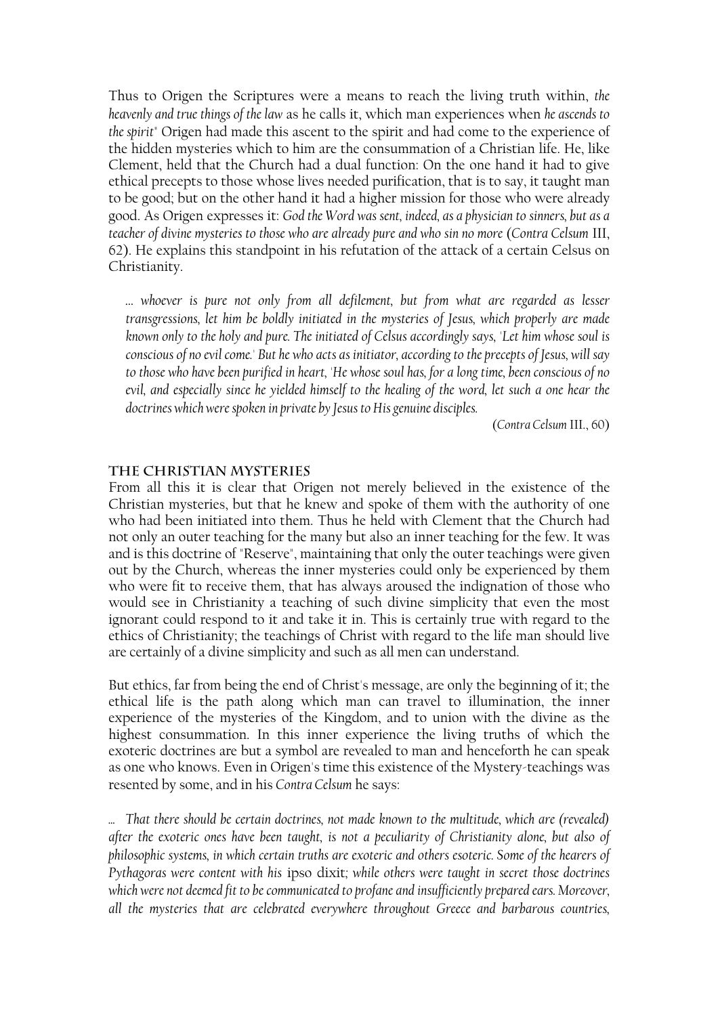Thus to Origen the Scriptures were a means to reach the living truth within, *the heavenly and true things of the law* as he calls it, which man experiences when *he ascends to the spirit*" Origen had made this ascent to the spirit and had come to the experience of the hidden mysteries which to him are the consummation of a Christian life. He, like Clement, held that the Church had a dual function: On the one hand it had to give ethical precepts to those whose lives needed purification, that is to say, it taught man to be good; but on the other hand it had a higher mission for those who were already good. As Origen expresses it: *God the Word was sent, indeed, as a physician to sinners, but as a teacher of divine mysteries to those who are already pure and who sin no more* (*Contra Celsum* III, 62). He explains this standpoint in his refutation of the attack of a certain Celsus on Christianity.

*… whoever is pure not only from all defilement, but from what are regarded as lesser transgressions, let him be boldly initiated in the mysteries of Jesus, which properly are made known only to the holy and pure. The initiated of Celsus accordingly says, 'Let him whose soul is conscious of no evil come.' But he who acts as initiator, according to the precepts of Jesus, will say to those who have been purified in heart, 'He whose soul has, for a long time, been conscious of no evil, and especially since he yielded himself to the healing of the word, let such a one hear the doctrines which were spoken in private by Jesus to His genuine disciples.* 

(*Contra Celsum* III., 60)

#### **The Christian Mysteries**

From all this it is clear that Origen not merely believed in the existence of the Christian mysteries, but that he knew and spoke of them with the authority of one who had been initiated into them. Thus he held with Clement that the Church had not only an outer teaching for the many but also an inner teaching for the few. It was and is this doctrine of "Reserve", maintaining that only the outer teachings were given out by the Church, whereas the inner mysteries could only be experienced by them who were fit to receive them, that has always aroused the indignation of those who would see in Christianity a teaching of such divine simplicity that even the most ignorant could respond to it and take it in. This is certainly true with regard to the ethics of Christianity; the teachings of Christ with regard to the life man should live are certainly of a divine simplicity and such as all men can understand.

But ethics, far from being the end of Christ's message, are only the beginning of it; the ethical life is the path along which man can travel to illumination, the inner experience of the mysteries of the Kingdom, and to union with the divine as the highest consummation. In this inner experience the living truths of which the exoteric doctrines are but a symbol are revealed to man and henceforth he can speak as one who knows. Even in Origen's time this existence of the Mystery-teachings was resented by some, and in his *Contra Celsum* he says:

*... That there should be certain doctrines, not made known to the multitude, which are (revealed) after the exoteric ones have been taught, is not a peculiarity of Christianity alone, but also of philosophic systems, in which certain truths are exoteric and others esoteric. Some of the hearers of Pythagoras were content with his* ipso dixit*; while others were taught in secret those doctrines which were not deemed fit to be communicated to profane and insufficiently prepared ears. Moreover, all the mysteries that are celebrated everywhere throughout Greece and barbarous countries,*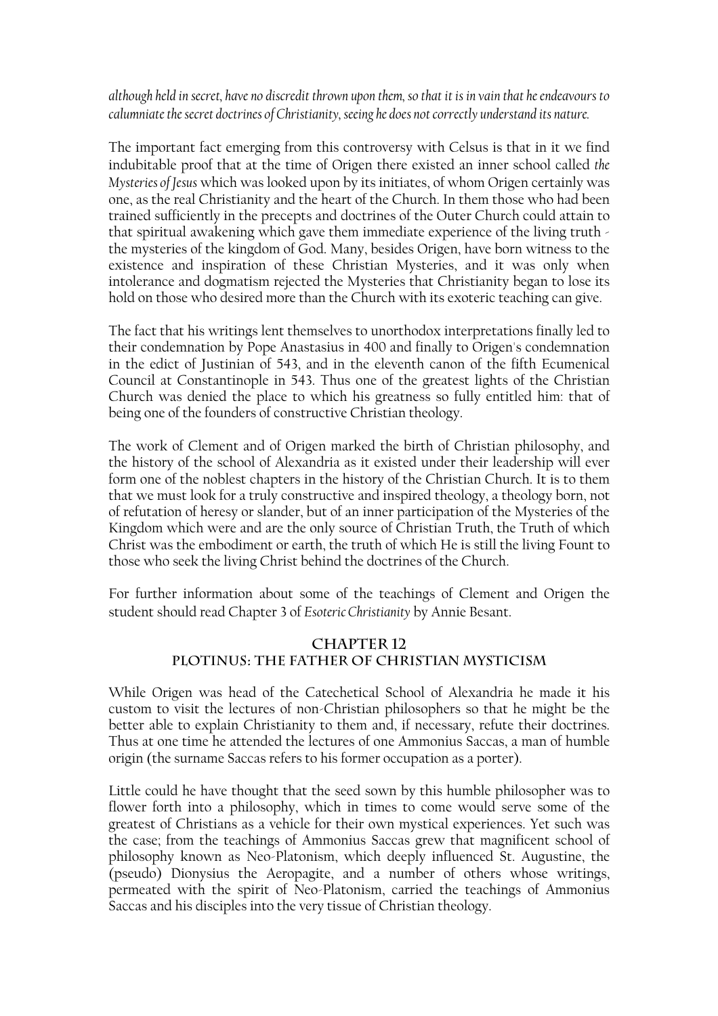# *although held in secret, have no discredit thrown upon them, so that it is in vain that he endeavours to calumniate the secret doctrines of Christianity, seeing he does not correctly understand its nature.*

The important fact emerging from this controversy with Celsus is that in it we find indubitable proof that at the time of Origen there existed an inner school called *the Mysteries of Jesus* which was looked upon by its initiates, of whom Origen certainly was one, as the real Christianity and the heart of the Church. In them those who had been trained sufficiently in the precepts and doctrines of the Outer Church could attain to that spiritual awakening which gave them immediate experience of the living truth the mysteries of the kingdom of God. Many, besides Origen, have born witness to the existence and inspiration of these Christian Mysteries, and it was only when intolerance and dogmatism rejected the Mysteries that Christianity began to lose its hold on those who desired more than the Church with its exoteric teaching can give.

The fact that his writings lent themselves to unorthodox interpretations finally led to their condemnation by Pope Anastasius in 400 and finally to Origen's condemnation in the edict of Justinian of 543, and in the eleventh canon of the fifth Ecumenical Council at Constantinople in 543. Thus one of the greatest lights of the Christian Church was denied the place to which his greatness so fully entitled him: that of being one of the founders of constructive Christian theology.

The work of Clement and of Origen marked the birth of Christian philosophy, and the history of the school of Alexandria as it existed under their leadership will ever form one of the noblest chapters in the history of the Christian Church. It is to them that we must look for a truly constructive and inspired theology, a theology born, not of refutation of heresy or slander, but of an inner participation of the Mysteries of the Kingdom which were and are the only source of Christian Truth, the Truth of which Christ was the embodiment or earth, the truth of which He is still the living Fount to those who seek the living Christ behind the doctrines of the Church.

For further information about some of the teachings of Clement and Origen the student should read Chapter 3 of *Esoteric Christianity* by Annie Besant.

# **CHAPTER 12 PLOTINUS: THE FATHER OF CHRISTIAN MYSTICISM**

While Origen was head of the Catechetical School of Alexandria he made it his custom to visit the lectures of non-Christian philosophers so that he might be the better able to explain Christianity to them and, if necessary, refute their doctrines. Thus at one time he attended the lectures of one Ammonius Saccas, a man of humble origin (the surname Saccas refers to his former occupation as a porter).

Little could he have thought that the seed sown by this humble philosopher was to flower forth into a philosophy, which in times to come would serve some of the greatest of Christians as a vehicle for their own mystical experiences. Yet such was the case; from the teachings of Ammonius Saccas grew that magnificent school of philosophy known as Neo-Platonism, which deeply influenced St. Augustine, the (pseudo) Dionysius the Aeropagite, and a number of others whose writings, permeated with the spirit of Neo-Platonism, carried the teachings of Ammonius Saccas and his disciples into the very tissue of Christian theology.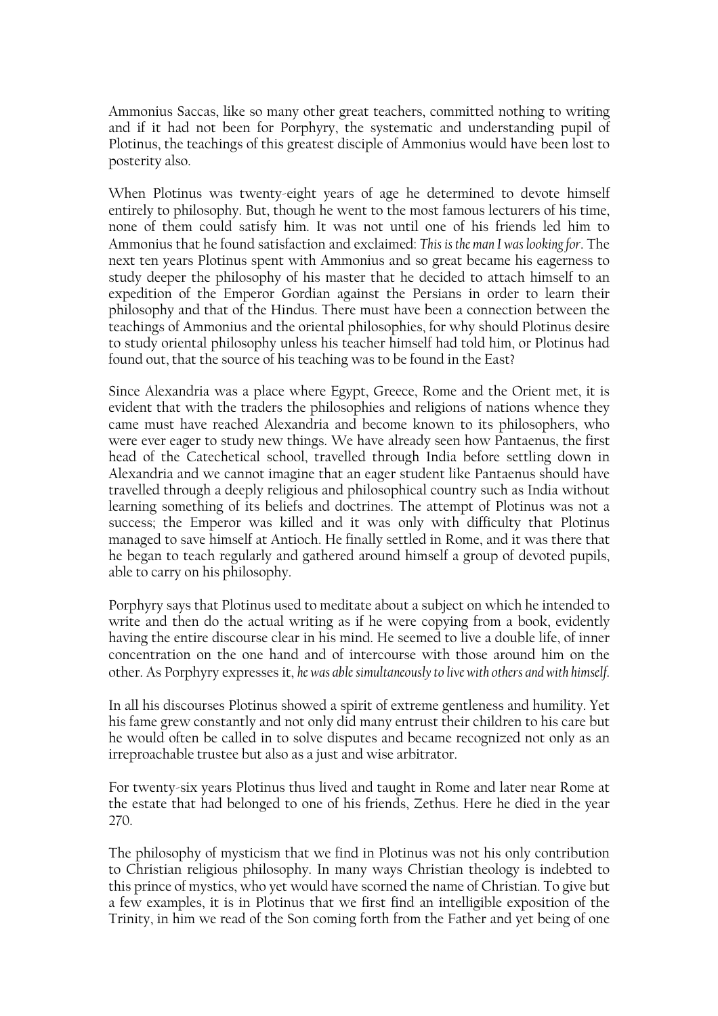Ammonius Saccas, like so many other great teachers, committed nothing to writing and if it had not been for Porphyry, the systematic and understanding pupil of Plotinus, the teachings of this greatest disciple of Ammonius would have been lost to posterity also.

When Plotinus was twenty-eight years of age he determined to devote himself entirely to philosophy. But, though he went to the most famous lecturers of his time, none of them could satisfy him. It was not until one of his friends led him to Ammonius that he found satisfaction and exclaimed: *This is the man I was looking for*. The next ten years Plotinus spent with Ammonius and so great became his eagerness to study deeper the philosophy of his master that he decided to attach himself to an expedition of the Emperor Gordian against the Persians in order to learn their philosophy and that of the Hindus. There must have been a connection between the teachings of Ammonius and the oriental philosophies, for why should Plotinus desire to study oriental philosophy unless his teacher himself had told him, or Plotinus had found out, that the source of his teaching was to be found in the East?

Since Alexandria was a place where Egypt, Greece, Rome and the Orient met, it is evident that with the traders the philosophies and religions of nations whence they came must have reached Alexandria and become known to its philosophers, who were ever eager to study new things. We have already seen how Pantaenus, the first head of the Catechetical school, travelled through India before settling down in Alexandria and we cannot imagine that an eager student like Pantaenus should have travelled through a deeply religious and philosophical country such as India without learning something of its beliefs and doctrines. The attempt of Plotinus was not a success; the Emperor was killed and it was only with difficulty that Plotinus managed to save himself at Antioch. He finally settled in Rome, and it was there that he began to teach regularly and gathered around himself a group of devoted pupils, able to carry on his philosophy.

Porphyry says that Plotinus used to meditate about a subject on which he intended to write and then do the actual writing as if he were copying from a book, evidently having the entire discourse clear in his mind. He seemed to live a double life, of inner concentration on the one hand and of intercourse with those around him on the other. As Porphyry expresses it, *he was able simultaneously to live with others and with himself*.

In all his discourses Plotinus showed a spirit of extreme gentleness and humility. Yet his fame grew constantly and not only did many entrust their children to his care but he would often be called in to solve disputes and became recognized not only as an irreproachable trustee but also as a just and wise arbitrator.

For twenty-six years Plotinus thus lived and taught in Rome and later near Rome at the estate that had belonged to one of his friends, Zethus. Here he died in the year 270.

The philosophy of mysticism that we find in Plotinus was not his only contribution to Christian religious philosophy. In many ways Christian theology is indebted to this prince of mystics, who yet would have scorned the name of Christian. To give but a few examples, it is in Plotinus that we first find an intelligible exposition of the Trinity, in him we read of the Son coming forth from the Father and yet being of one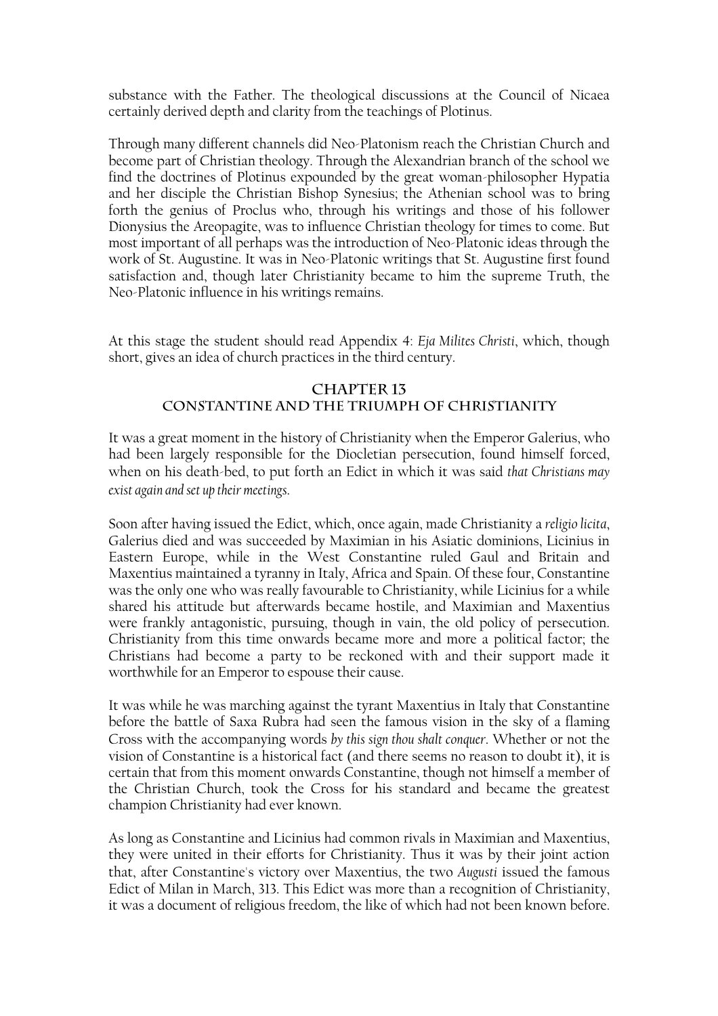substance with the Father. The theological discussions at the Council of Nicaea certainly derived depth and clarity from the teachings of Plotinus.

Through many different channels did Neo-Platonism reach the Christian Church and become part of Christian theology. Through the Alexandrian branch of the school we find the doctrines of Plotinus expounded by the great woman-philosopher Hypatia and her disciple the Christian Bishop Synesius; the Athenian school was to bring forth the genius of Proclus who, through his writings and those of his follower Dionysius the Areopagite, was to influence Christian theology for times to come. But most important of all perhaps was the introduction of Neo-Platonic ideas through the work of St. Augustine. It was in Neo-Platonic writings that St. Augustine first found satisfaction and, though later Christianity became to him the supreme Truth, the Neo-Platonic influence in his writings remains.

At this stage the student should read Appendix 4: *Eja Milites Christi*, which, though short, gives an idea of church practices in the third century.

## **CHAPTER 13 CONSTANTINE AND THE TRIUMPH OF CHRISTIANITY**

It was a great moment in the history of Christianity when the Emperor Galerius, who had been largely responsible for the Diocletian persecution, found himself forced, when on his death-bed, to put forth an Edict in which it was said *that Christians may exist again and set up their meetings*.

Soon after having issued the Edict, which, once again, made Christianity a *religio licita*, Galerius died and was succeeded by Maximian in his Asiatic dominions, Licinius in Eastern Europe, while in the West Constantine ruled Gaul and Britain and Maxentius maintained a tyranny in Italy, Africa and Spain. Of these four, Constantine was the only one who was really favourable to Christianity, while Licinius for a while shared his attitude but afterwards became hostile, and Maximian and Maxentius were frankly antagonistic, pursuing, though in vain, the old policy of persecution. Christianity from this time onwards became more and more a political factor; the Christians had become a party to be reckoned with and their support made it worthwhile for an Emperor to espouse their cause.

It was while he was marching against the tyrant Maxentius in Italy that Constantine before the battle of Saxa Rubra had seen the famous vision in the sky of a flaming Cross with the accompanying words *by this sign thou shalt conquer*. Whether or not the vision of Constantine is a historical fact (and there seems no reason to doubt it), it is certain that from this moment onwards Constantine, though not himself a member of the Christian Church, took the Cross for his standard and became the greatest champion Christianity had ever known.

As long as Constantine and Licinius had common rivals in Maximian and Maxentius, they were united in their efforts for Christianity. Thus it was by their joint action that, after Constantine's victory over Maxentius, the two *Augusti* issued the famous Edict of Milan in March, 313. This Edict was more than a recognition of Christianity, it was a document of religious freedom, the like of which had not been known before.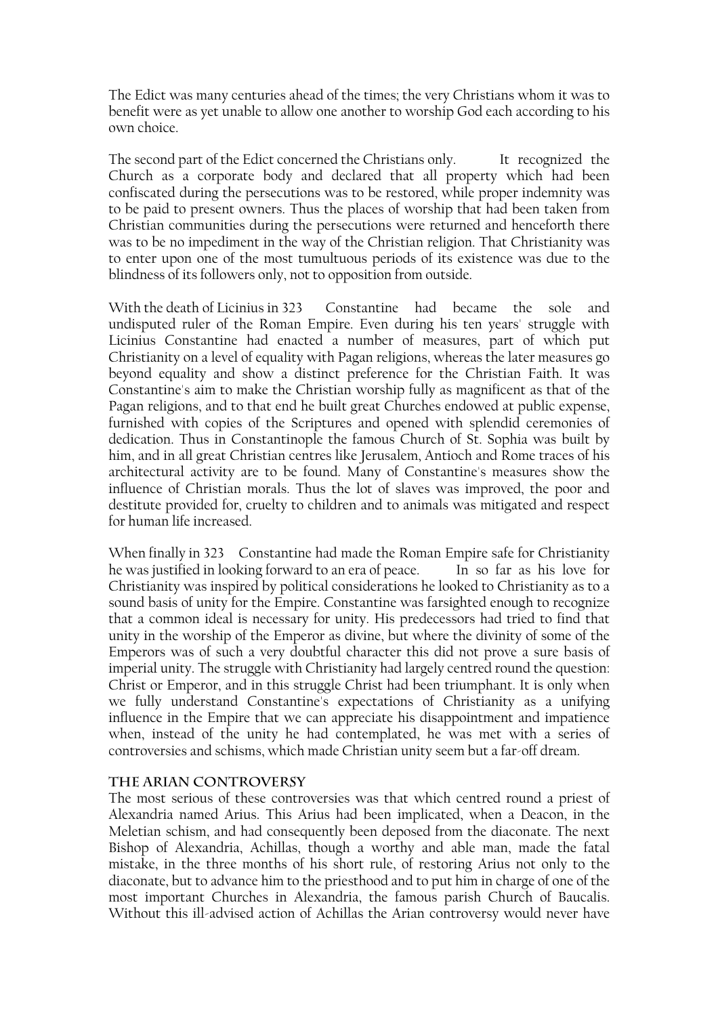The Edict was many centuries ahead of the times; the very Christians whom it was to benefit were as yet unable to allow one another to worship God each according to his own choice.

The second part of the Edict concerned the Christians only. It recognized the Church as a corporate body and declared that all property which had been confiscated during the persecutions was to be restored, while proper indemnity was to be paid to present owners. Thus the places of worship that had been taken from Christian communities during the persecutions were returned and henceforth there was to be no impediment in the way of the Christian religion. That Christianity was to enter upon one of the most tumultuous periods of its existence was due to the blindness of its followers only, not to opposition from outside.

With the death of Licinius in 323 Constantine had became the sole and undisputed ruler of the Roman Empire. Even during his ten years' struggle with Licinius Constantine had enacted a number of measures, part of which put Christianity on a level of equality with Pagan religions, whereas the later measures go beyond equality and show a distinct preference for the Christian Faith. It was Constantine's aim to make the Christian worship fully as magnificent as that of the Pagan religions, and to that end he built great Churches endowed at public expense, furnished with copies of the Scriptures and opened with splendid ceremonies of dedication. Thus in Constantinople the famous Church of St. Sophia was built by him, and in all great Christian centres like Jerusalem, Antioch and Rome traces of his architectural activity are to be found. Many of Constantine's measures show the influence of Christian morals. Thus the lot of slaves was improved, the poor and destitute provided for, cruelty to children and to animals was mitigated and respect for human life increased.

When finally in 323 Constantine had made the Roman Empire safe for Christianity he was justified in looking forward to an era of peace. In so far as his love for Christianity was inspired by political considerations he looked to Christianity as to a sound basis of unity for the Empire. Constantine was farsighted enough to recognize that a common ideal is necessary for unity. His predecessors had tried to find that unity in the worship of the Emperor as divine, but where the divinity of some of the Emperors was of such a very doubtful character this did not prove a sure basis of imperial unity. The struggle with Christianity had largely centred round the question: Christ or Emperor, and in this struggle Christ had been triumphant. It is only when we fully understand Constantine's expectations of Christianity as a unifying influence in the Empire that we can appreciate his disappointment and impatience when, instead of the unity he had contemplated, he was met with a series of controversies and schisms, which made Christian unity seem but a far-off dream.

#### **The Arian Controversy**

The most serious of these controversies was that which centred round a priest of Alexandria named Arius. This Arius had been implicated, when a Deacon, in the Meletian schism, and had consequently been deposed from the diaconate. The next Bishop of Alexandria, Achillas, though a worthy and able man, made the fatal mistake, in the three months of his short rule, of restoring Arius not only to the diaconate, but to advance him to the priesthood and to put him in charge of one of the most important Churches in Alexandria, the famous parish Church of Baucalis. Without this ill-advised action of Achillas the Arian controversy would never have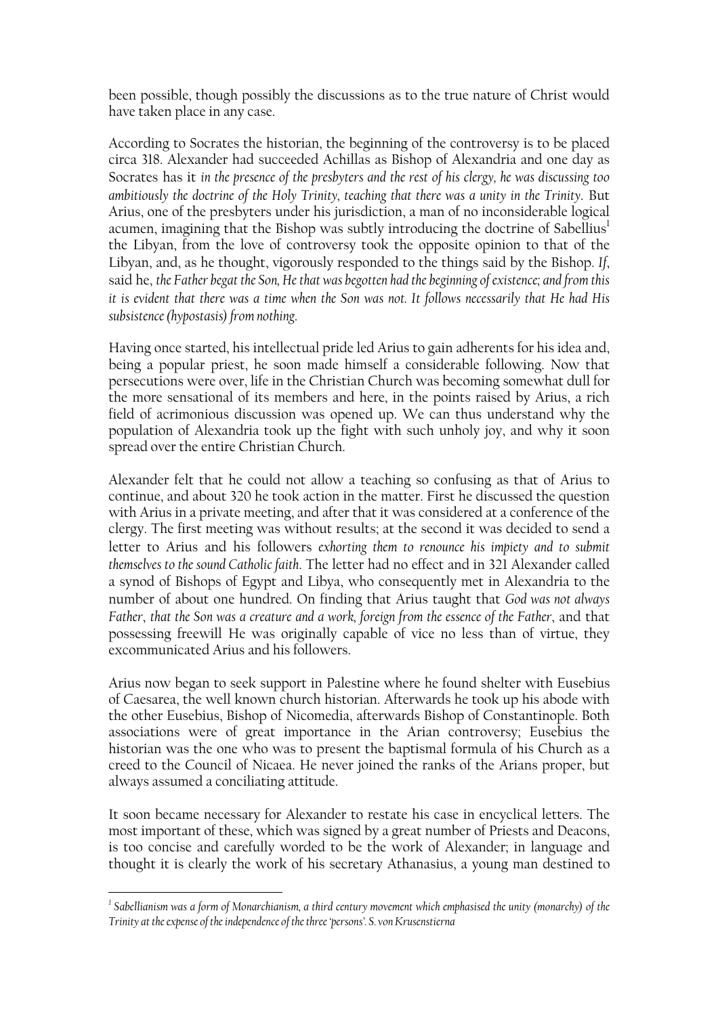been possible, though possibly the discussions as to the true nature of Christ would have taken place in any case.

According to Socrates the historian, the beginning of the controversy is to be placed circa 318. Alexander had succeeded Achillas as Bishop of Alexandria and one day as Socrates has it *in the presence of the presbyters and the rest of his clergy, he was discussing too ambitiously the doctrine of the Holy Trinity, teaching that there was a unity in the Trinity*. But Arius, one of the presbyters under his jurisdiction, a man of no inconsiderable logical acumen, imagining that the Bishop was subtly introducing the doctrine of Sabellius<sup>1</sup> the Libyan, from the love of controversy took the opposite opinion to that of the Libyan, and, as he thought, vigorously responded to the things said by the Bishop. *If*, said he, *the Father begat the Son, He that was begotten had the beginning of existence; and from this it is evident that there was a time when the Son was not. It follows necessarily that He had His subsistence (hypostasis) from nothing*.

Having once started, his intellectual pride led Arius to gain adherents for his idea and, being a popular priest, he soon made himself a considerable following. Now that persecutions were over, life in the Christian Church was becoming somewhat dull for the more sensational of its members and here, in the points raised by Arius, a rich field of acrimonious discussion was opened up. We can thus understand why the population of Alexandria took up the fight with such unholy joy, and why it soon spread over the entire Christian Church.

Alexander felt that he could not allow a teaching so confusing as that of Arius to continue, and about 320 he took action in the matter. First he discussed the question with Arius in a private meeting, and after that it was considered at a conference of the clergy. The first meeting was without results; at the second it was decided to send a letter to Arius and his followers *exhorting them to renounce his impiety and to submit themselves to the sound Catholic faith*. The letter had no effect and in 321 Alexander called a synod of Bishops of Egypt and Libya, who consequently met in Alexandria to the number of about one hundred. On finding that Arius taught that *God was not always Father*, *that the Son was a creature and a work, foreign from the essence of the Father*, and that possessing freewill He was originally capable of vice no less than of virtue, they excommunicated Arius and his followers.

Arius now began to seek support in Palestine where he found shelter with Eusebius of Caesarea, the well known church historian. Afterwards he took up his abode with the other Eusebius, Bishop of Nicomedia, afterwards Bishop of Constantinople. Both associations were of great importance in the Arian controversy; Eusebius the historian was the one who was to present the baptismal formula of his Church as a creed to the Council of Nicaea. He never joined the ranks of the Arians proper, but always assumed a conciliating attitude.

It soon became necessary for Alexander to restate his case in encyclical letters. The most important of these, which was signed by a great number of Priests and Deacons, is too concise and carefully worded to be the work of Alexander; in language and thought it is clearly the work of his secretary Athanasius, a young man destined to

<span id="page-12-0"></span><sup>&</sup>lt;sup>1</sup> Sabellianism was a form of Monarchianism, a third century movement which emphasised the unity (monarchy) of the *Trinity at the expense of the independence of the three 'persons'. S. von Krusenstierna*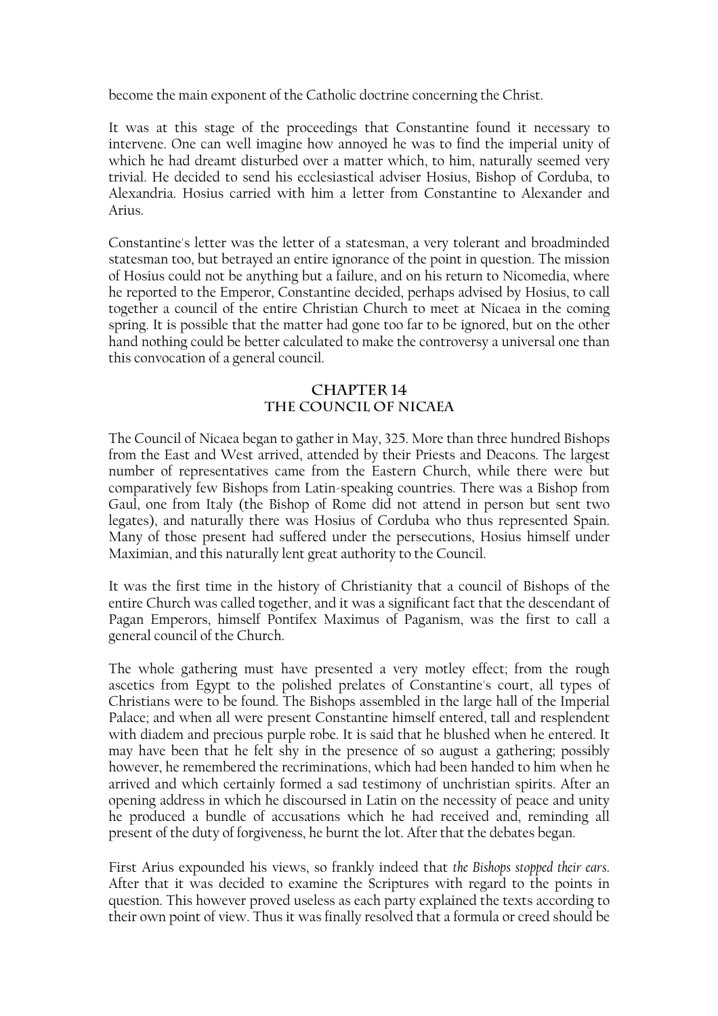become the main exponent of the Catholic doctrine concerning the Christ.

It was at this stage of the proceedings that Constantine found it necessary to intervene. One can well imagine how annoyed he was to find the imperial unity of which he had dreamt disturbed over a matter which, to him, naturally seemed very trivial. He decided to send his ecclesiastical adviser Hosius, Bishop of Corduba, to Alexandria. Hosius carried with him a letter from Constantine to Alexander and Arius.

Constantine's letter was the letter of a statesman, a very tolerant and broadminded statesman too, but betrayed an entire ignorance of the point in question. The mission of Hosius could not be anything but a failure, and on his return to Nicomedia, where he reported to the Emperor, Constantine decided, perhaps advised by Hosius, to call together a council of the entire Christian Church to meet at Nicaea in the coming spring. It is possible that the matter had gone too far to be ignored, but on the other hand nothing could be better calculated to make the controversy a universal one than this convocation of a general council.

### **CHAPTER 14 THE COUNCIL OF NICAEA**

The Council of Nicaea began to gather in May, 325. More than three hundred Bishops from the East and West arrived, attended by their Priests and Deacons. The largest number of representatives came from the Eastern Church, while there were but comparatively few Bishops from Latin-speaking countries. There was a Bishop from Gaul, one from Italy (the Bishop of Rome did not attend in person but sent two legates), and naturally there was Hosius of Corduba who thus represented Spain. Many of those present had suffered under the persecutions, Hosius himself under Maximian, and this naturally lent great authority to the Council.

It was the first time in the history of Christianity that a council of Bishops of the entire Church was called together, and it was a significant fact that the descendant of Pagan Emperors, himself Pontifex Maximus of Paganism, was the first to call a general council of the Church.

The whole gathering must have presented a very motley effect; from the rough ascetics from Egypt to the polished prelates of Constantine's court, all types of Christians were to be found. The Bishops assembled in the large hall of the Imperial Palace; and when all were present Constantine himself entered, tall and resplendent with diadem and precious purple robe. It is said that he blushed when he entered. It may have been that he felt shy in the presence of so august a gathering; possibly however, he remembered the recriminations, which had been handed to him when he arrived and which certainly formed a sad testimony of unchristian spirits. After an opening address in which he discoursed in Latin on the necessity of peace and unity he produced a bundle of accusations which he had received and, reminding all present of the duty of forgiveness, he burnt the lot. After that the debates began.

First Arius expounded his views, so frankly indeed that *the Bishops stopped their ears*. After that it was decided to examine the Scriptures with regard to the points in question. This however proved useless as each party explained the texts according to their own point of view. Thus it was finally resolved that a formula or creed should be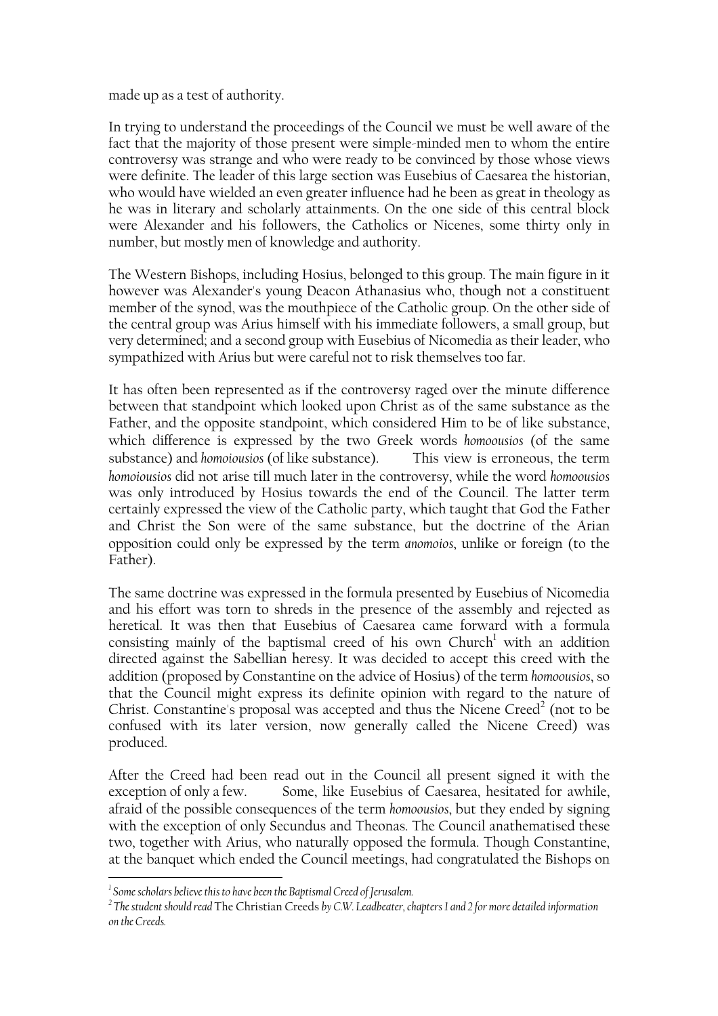made up as a test of authority.

In trying to understand the proceedings of the Council we must be well aware of the fact that the majority of those present were simple-minded men to whom the entire controversy was strange and who were ready to be convinced by those whose views were definite. The leader of this large section was Eusebius of Caesarea the historian, who would have wielded an even greater influence had he been as great in theology as he was in literary and scholarly attainments. On the one side of this central block were Alexander and his followers, the Catholics or Nicenes, some thirty only in number, but mostly men of knowledge and authority.

The Western Bishops, including Hosius, belonged to this group. The main figure in it however was Alexander's young Deacon Athanasius who, though not a constituent member of the synod, was the mouthpiece of the Catholic group. On the other side of the central group was Arius himself with his immediate followers, a small group, but very determined; and a second group with Eusebius of Nicomedia as their leader, who sympathized with Arius but were careful not to risk themselves too far.

It has often been represented as if the controversy raged over the minute difference between that standpoint which looked upon Christ as of the same substance as the Father, and the opposite standpoint, which considered Him to be of like substance, which difference is expressed by the two Greek words *homoousios* (of the same substance) and *homoiousios* (of like substance). This view is erroneous, the term *homoiousios* did not arise till much later in the controversy, while the word *homoousios* was only introduced by Hosius towards the end of the Council. The latter term certainly expressed the view of the Catholic party, which taught that God the Father and Christ the Son were of the same substance, but the doctrine of the Arian opposition could only be expressed by the term *anomoios*, unlike or foreign (to the Father).

The same doctrine was expressed in the formula presented by Eusebius of Nicomedia and his effort was torn to shreds in the presence of the assembly and rejected as heretical. It was then that Eusebius of Caesarea came forward with a formula consisting mainly of the baptismal creed of his own  $Church<sup>1</sup>$  with an addition directed against the Sabellian heresy. It was decided to accept this creed with the addition (proposed by Constantine on the advice of Hosius) of the term *homoousios*, so that the Council might express its definite opinion with regard to the nature of Christ. Constantine's proposal was accepted and thus the Nicene Creed<sup>[2](#page-14-1)</sup> (not to be confused with its later version, now generally called the Nicene Creed) was produced.

After the Creed had been read out in the Council all present signed it with the exception of only a few. Some, like Eusebius of Caesarea, hesitated for awhile, afraid of the possible consequences of the term *homoousios*, but they ended by signing with the exception of only Secundus and Theonas. The Council anathematised these two, together with Arius, who naturally opposed the formula. Though Constantine, at the banquet which ended the Council meetings, had congratulated the Bishops on

<span id="page-14-0"></span>*<sup>&</sup>lt;sup>1</sup> Some scholars believe this to have been the Baptismal Creed of Jerusalem.*<br><sup>2</sup> The student should read The Christian Creeds by CW Leadheater, sh

<span id="page-14-1"></span>*The student should read* The Christian Creeds *by C.W. Leadbeater, chapters 1 and 2 for more detailed information on the Creeds.*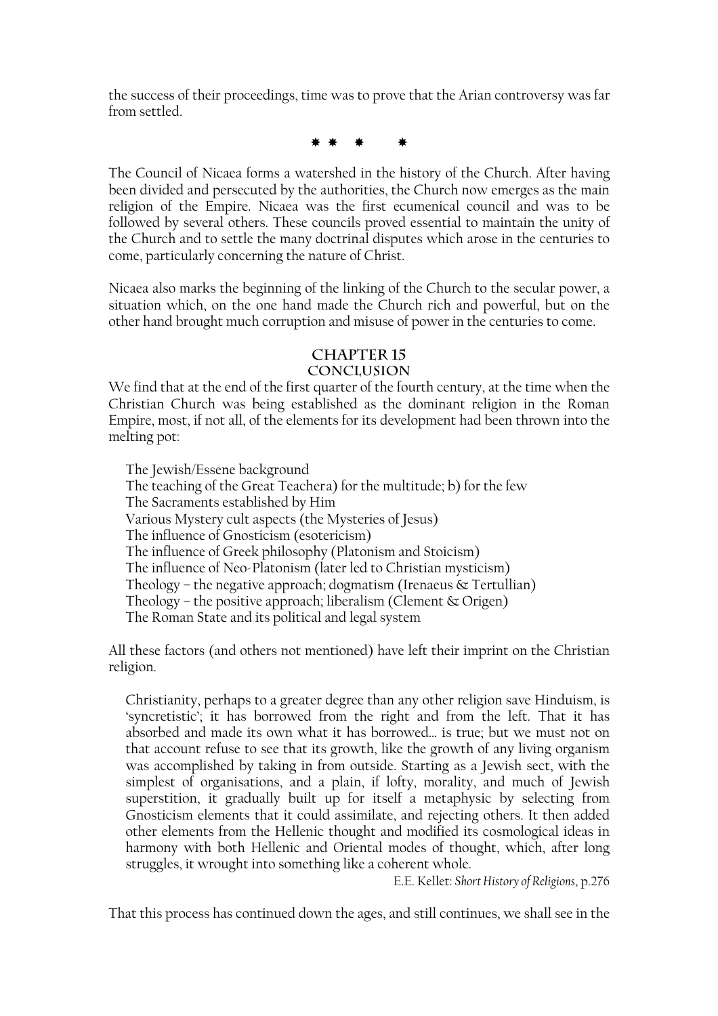the success of their proceedings, time was to prove that the Arian controversy was far from settled.

\* \* \* \*

The Council of Nicaea forms a watershed in the history of the Church. After having been divided and persecuted by the authorities, the Church now emerges as the main religion of the Empire. Nicaea was the first ecumenical council and was to be followed by several others. These councils proved essential to maintain the unity of the Church and to settle the many doctrinal disputes which arose in the centuries to come, particularly concerning the nature of Christ.

Nicaea also marks the beginning of the linking of the Church to the secular power, a situation which, on the one hand made the Church rich and powerful, but on the other hand brought much corruption and misuse of power in the centuries to come.

# **Chapter 15**

# **Conclusion**

We find that at the end of the first quarter of the fourth century, at the time when the Christian Church was being established as the dominant religion in the Roman Empire, most, if not all, of the elements for its development had been thrown into the melting pot:

 The Jewish/Essene background The teaching of the Great Teachera) for the multitude; b) for the few The Sacraments established by Him Various Mystery cult aspects (the Mysteries of Jesus) The influence of Gnosticism (esotericism) The influence of Greek philosophy (Platonism and Stoicism) The influence of Neo-Platonism (later led to Christian mysticism) Theology – the negative approach; dogmatism (Irenaeus  $\&$  Tertullian) Theology – the positive approach; liberalism (Clement  $\&$  Origen) The Roman State and its political and legal system

All these factors (and others not mentioned) have left their imprint on the Christian religion.

Christianity, perhaps to a greater degree than any other religion save Hinduism, is 'syncretistic'; it has borrowed from the right and from the left. That it has absorbed and made its own what it has borrowed… is true; but we must not on that account refuse to see that its growth, like the growth of any living organism was accomplished by taking in from outside. Starting as a Jewish sect, with the simplest of organisations, and a plain, if lofty, morality, and much of Jewish superstition, it gradually built up for itself a metaphysic by selecting from Gnosticism elements that it could assimilate, and rejecting others. It then added other elements from the Hellenic thought and modified its cosmological ideas in harmony with both Hellenic and Oriental modes of thought, which, after long struggles, it wrought into something like a coherent whole.

E.E. Kellet: *Short History of Religions*, p.276

That this process has continued down the ages, and still continues, we shall see in the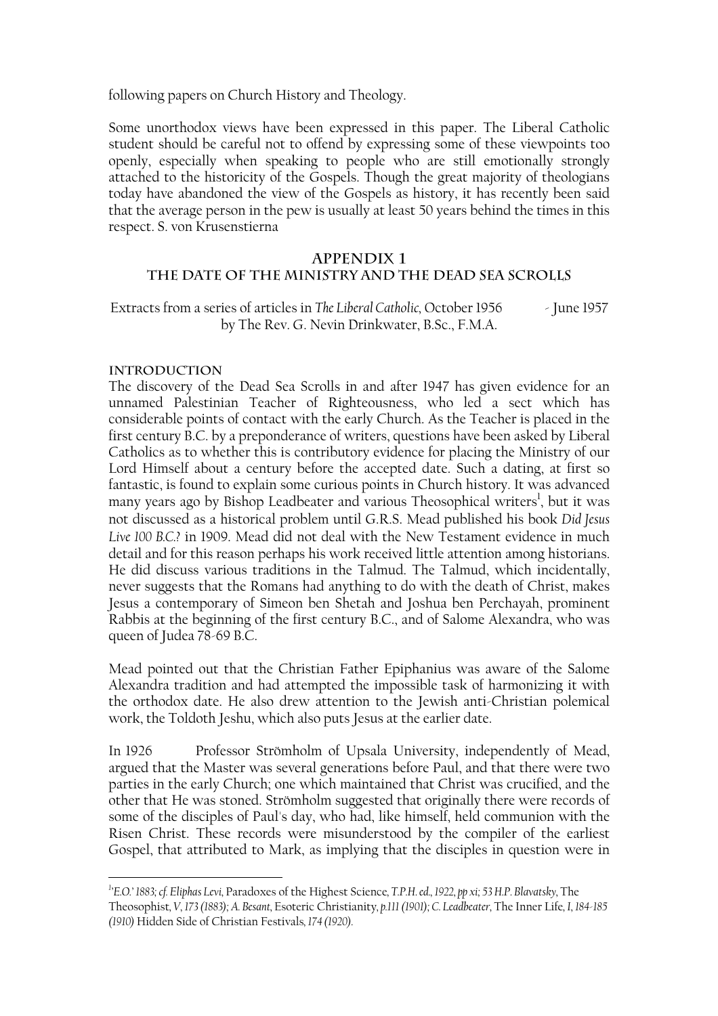following papers on Church History and Theology.

Some unorthodox views have been expressed in this paper. The Liberal Catholic student should be careful not to offend by expressing some of these viewpoints too openly, especially when speaking to people who are still emotionally strongly attached to the historicity of the Gospels. Though the great majority of theologians today have abandoned the view of the Gospels as history, it has recently been said that the average person in the pew is usually at least 50 years behind the times in this respect. S. von Krusenstierna

#### **APPENDIX 1 THE DATE OF THE MINISTRY AND THE DEAD SEA SCROLLS**

Extracts from a series of articles in *The Liberal Catholic,* October 1956 - June 1957 by The Rev. G. Nevin Drinkwater, B.Sc., F.M.A.

#### **Introduction**

 $\overline{a}$ 

The discovery of the Dead Sea Scrolls in and after 1947 has given evidence for an unnamed Palestinian Teacher of Righteousness, who led a sect which has considerable points of contact with the early Church. As the Teacher is placed in the first century B.C. by a preponderance of writers, questions have been asked by Liberal Catholics as to whether this is contributory evidence for placing the Ministry of our Lord Himself about a century before the accepted date. Such a dating, at first so fantastic, is found to explain some curious points in Church history. It was advanced many years ago by Bishop Leadbeater and various Theosophical writers<sup>1</sup>, but it was not discussed as a historical problem until G.R.S. Mead published his book *Did Jesus Live 100 B.C.?* in 1909. Mead did not deal with the New Testament evidence in much detail and for this reason perhaps his work received little attention among historians. He did discuss various traditions in the Talmud. The Talmud, which incidentally, never suggests that the Romans had anything to do with the death of Christ, makes Jesus a contemporary of Simeon ben Shetah and Joshua ben Perchayah, prominent Rabbis at the beginning of the first century B.C., and of Salome Alexandra, who was queen of Judea 78-69 B.C.

Mead pointed out that the Christian Father Epiphanius was aware of the Salome Alexandra tradition and had attempted the impossible task of harmonizing it with the orthodox date. He also drew attention to the Jewish anti-Christian polemical work, the Toldoth Jeshu, which also puts Jesus at the earlier date.

In 1926 Professor Strömholm of Upsala University, independently of Mead, argued that the Master was several generations before Paul, and that there were two parties in the early Church; one which maintained that Christ was crucified, and the other that He was stoned. Strömholm suggested that originally there were records of some of the disciples of Paul's day, who had, like himself, held communion with the Risen Christ. These records were misunderstood by the compiler of the earliest Gospel, that attributed to Mark, as implying that the disciples in question were in

<span id="page-16-0"></span>*<sup>1</sup> 'E.O.' 1883; cf. Eliphas Levi,* Paradoxes of the Highest Science*, T.P.H. ed., 1922, pp xi; 53 H.P. Blavatsky,* The Theosophist*, V, 173 (1883); A. Besant,* Esoteric Christianity*, p.111 (1901); C. Leadbeater,* The Inner Life*, I, 184-185 (1910)* Hidden Side of Christian Festivals*, 174 (1920).*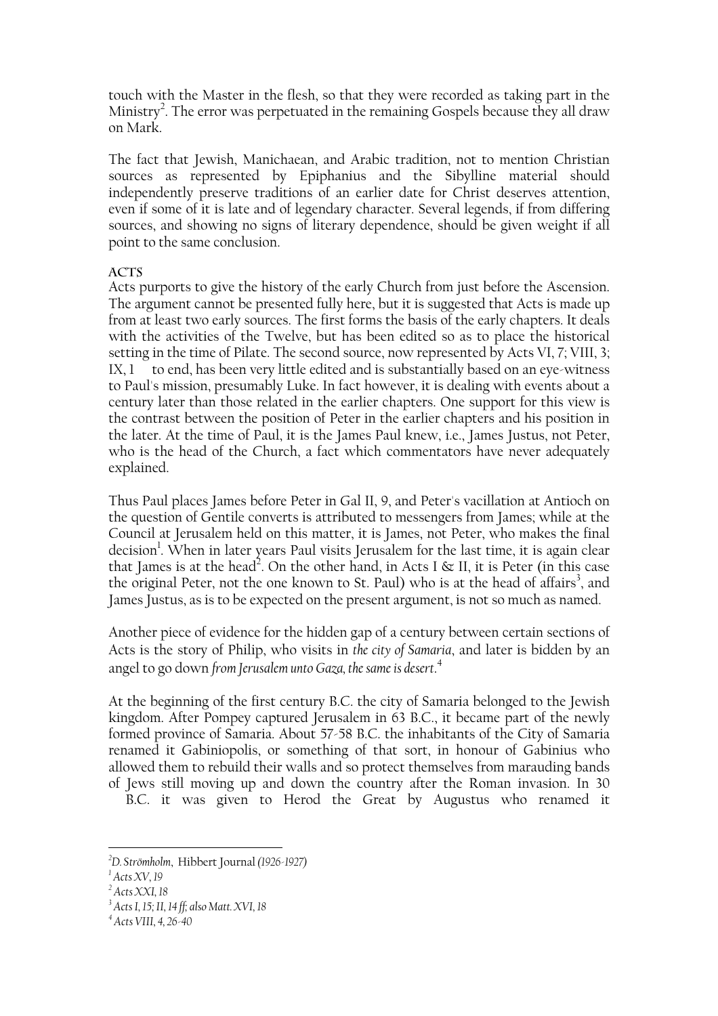touch with the Master in the flesh, so that they were recorded as taking part in the Ministry<sup>[2](#page-17-0)</sup>. The error was perpetuated in the remaining Gospels because they all draw on Mark.

The fact that Jewish, Manichaean, and Arabic tradition, not to mention Christian sources as represented by Epiphanius and the Sibylline material should independently preserve traditions of an earlier date for Christ deserves attention, even if some of it is late and of legendary character. Several legends, if from differing sources, and showing no signs of literary dependence, should be given weight if all point to the same conclusion.

### **Acts**

Acts purports to give the history of the early Church from just before the Ascension. The argument cannot be presented fully here, but it is suggested that Acts is made up from at least two early sources. The first forms the basis of the early chapters. It deals with the activities of the Twelve, but has been edited so as to place the historical setting in the time of Pilate. The second source, now represented by Acts VI, 7; VIII, 3; IX, 1 to end, has been very little edited and is substantially based on an eye-witness to Paul's mission, presumably Luke. In fact however, it is dealing with events about a century later than those related in the earlier chapters. One support for this view is the contrast between the position of Peter in the earlier chapters and his position in the later. At the time of Paul, it is the James Paul knew, i.e., James Justus, not Peter, who is the head of the Church, a fact which commentators have never adequately explained.

Thus Paul places James before Peter in Gal II, 9, and Peter's vacillation at Antioch on the question of Gentile converts is attributed to messengers from James; while at the Council at Jerusalem held on this matter, it is James, not Peter, who makes the final decision<sup>[1](#page-17-1)</sup>. When in later years Paul visits Jerusalem for the last time, it is again clear that James is at the head<sup>[2](#page-17-2)</sup>. On the other hand, in Acts I & II, it is Peter (in this case the original Peter, not the one known to St. Paul) who is at the head of affairs<sup>3</sup>, and James Justus, as is to be expected on the present argument, is not so much as named.

Another piece of evidence for the hidden gap of a century between certain sections of Acts is the story of Philip, who visits in *the city of Samaria*, and later is bidden by an angel to go down *from Jerusalem unto Gaza, the same is desert*. [4](#page-17-4)

At the beginning of the first century B.C. the city of Samaria belonged to the Jewish kingdom. After Pompey captured Jerusalem in 63 B.C., it became part of the newly formed province of Samaria. About 57-58 B.C. the inhabitants of the City of Samaria renamed it Gabiniopolis, or something of that sort, in honour of Gabinius who allowed them to rebuild their walls and so protect themselves from marauding bands of Jews still moving up and down the country after the Roman invasion. In 30

B.C. it was given to Herod the Great by Augustus who renamed it

<span id="page-17-0"></span>*<sup>2</sup> D. Strömholm*, Hibbert Journal *(1926-1927)*

<span id="page-17-1"></span>*<sup>1</sup> Acts XV, 19* 

<span id="page-17-2"></span>*<sup>2</sup> Acts XXI, 18* 

<span id="page-17-3"></span>*<sup>3</sup> Acts I, 15; II, 14 ff; also Matt. XVI, 18* 

<span id="page-17-4"></span>*<sup>4</sup> Acts VIII, 4, 26-40*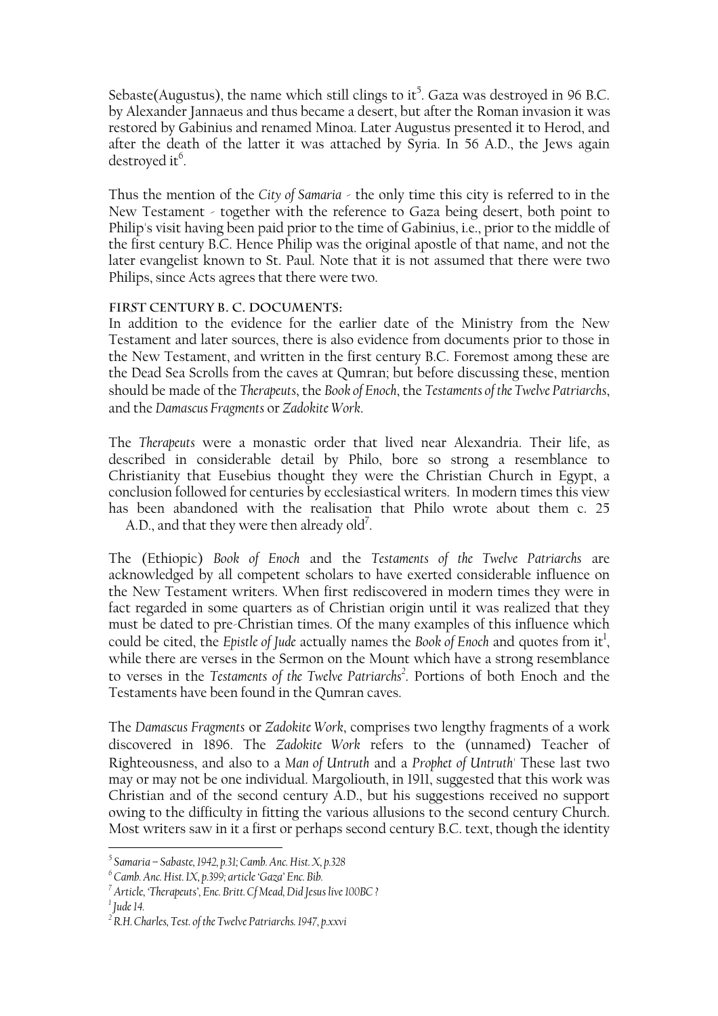Sebaste(Augustus), the name which still clings to it $^5$  $^5$ . Gaza was destroyed in 96 B.C. by Alexander Jannaeus and thus became a desert, but after the Roman invasion it was restored by Gabinius and renamed Minoa. Later Augustus presented it to Herod, and after the death of the latter it was attached by Syria. In 56 A.D., the Jews again destroyed it<sup>6</sup>.

Thus the mention of the *City of Samaria* - the only time this city is referred to in the New Testament - together with the reference to Gaza being desert, both point to Philip's visit having been paid prior to the time of Gabinius, i.e., prior to the middle of the first century B.C. Hence Philip was the original apostle of that name, and not the later evangelist known to St. Paul. Note that it is not assumed that there were two Philips, since Acts agrees that there were two.

#### **First Century B. C. Documents:**

In addition to the evidence for the earlier date of the Ministry from the New Testament and later sources, there is also evidence from documents prior to those in the New Testament, and written in the first century B.C. Foremost among these are the Dead Sea Scrolls from the caves at Qumran; but before discussing these, mention should be made of the *Therapeuts*, the *Book of Enoch*, the *Testaments of the Twelve Patriarchs*, and the *Damascus Fragments* or *Zadokite Work*.

The *Therapeuts* were a monastic order that lived near Alexandria. Their life, as described in considerable detail by Philo, bore so strong a resemblance to Christianity that Eusebius thought they were the Christian Church in Egypt, a conclusion followed for centuries by ecclesiastical writers. In modern times this view has been abandoned with the realisation that Philo wrote about them c. 25 A.D., and that they were then already  $\mathrm{old}^7$ .

The (Ethiopic) *Book of Enoch* and the *Testaments of the Twelve Patriarchs* are acknowledged by all competent scholars to have exerted considerable influence on the New Testament writers. When first rediscovered in modern times they were in fact regarded in some quarters as of Christian origin until it was realized that they must be dated to pre-Christian times. Of the many examples of this influence which could be cited, the *Epistle of Jude* actually names the *Book of Enoch* and quotes from it<sup>[1](#page-18-3)</sup>, while there are verses in the Sermon on the Mount which have a strong resemblance to verses in the *Testaments of the Twelve Patriarchs<sup>2</sup>*. Portions of both Enoch and the Testaments have been found in the Qumran caves.

The *Damascus Fragments* or *Zadokite Work*, comprises two lengthy fragments of a work discovered in 1896. The *Zadokite Work* refers to the (unnamed) Teacher of Righteousness, and also to a *Man of Untruth* and a *Prophet of Untruth'* These last two may or may not be one individual. Margoliouth, in 1911, suggested that this work was Christian and of the second century A.D., but his suggestions received no support owing to the difficulty in fitting the various allusions to the second century Church. Most writers saw in it a first or perhaps second century B.C. text, though the identity

<span id="page-18-0"></span>*<sup>5</sup> Samaria – Sabaste, 1942, p.31; Camb. Anc. Hist. X, p.328* 

<span id="page-18-1"></span>*<sup>6</sup> Camb. Anc. Hist. IX, p.399; article 'Gaza' Enc. Bib.* 

<span id="page-18-2"></span>*<sup>7</sup> Article, 'Therapeuts', Enc. Britt. Cf Mead, Did Jesus live 100BC ?* 

<span id="page-18-3"></span>*<sup>1</sup> Jude 14.* 

<span id="page-18-4"></span><sup>&</sup>lt;sup>2</sup> R.H. Charles, Test. of the Twelve Patriarchs. 1947, p.xxvi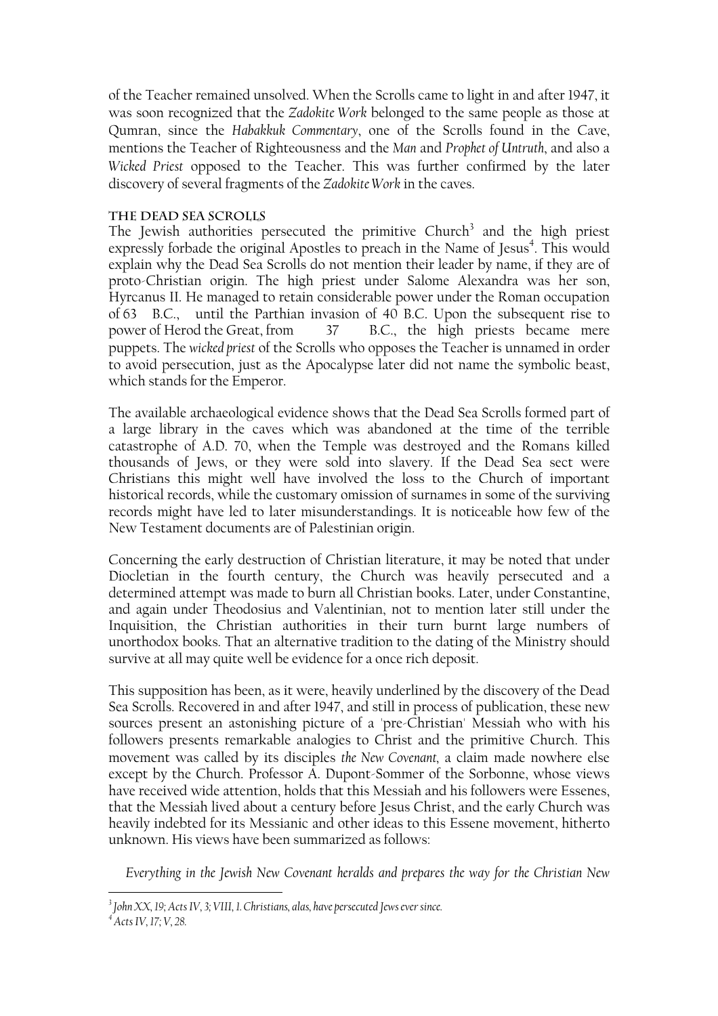of the Teacher remained unsolved. When the Scrolls came to light in and after 1947, it was soon recognized that the *Zadokite Work* belonged to the same people as those at Qumran, since the *Habakkuk Commentary*, one of the Scrolls found in the Cave, mentions the Teacher of Righteousness and the *Man* and *Prophet of Untruth*, and also a *Wicked Priest* opposed to the Teacher. This was further confirmed by the later discovery of several fragments of the *Zadokite Work* in the caves.

#### **The Dead Sea Scrolls**

The Jewish authorities persecuted the primitive Church<sup>3</sup> and the high priest expressly forbade the original Apostles to preach in the Name of Jesus<sup>[4](#page-19-1)</sup>. This would explain why the Dead Sea Scrolls do not mention their leader by name, if they are of proto-Christian origin. The high priest under Salome Alexandra was her son, Hyrcanus II. He managed to retain considerable power under the Roman occupation of 63 B.C., until the Parthian invasion of 40 B.C. Upon the subsequent rise to power of Herod the Great, from 37 B.C., the high priests became mere puppets. The *wicked priest* of the Scrolls who opposes the Teacher is unnamed in order to avoid persecution, just as the Apocalypse later did not name the symbolic beast, which stands for the Emperor.

The available archaeological evidence shows that the Dead Sea Scrolls formed part of a large library in the caves which was abandoned at the time of the terrible catastrophe of A.D. 70, when the Temple was destroyed and the Romans killed thousands of Jews, or they were sold into slavery. If the Dead Sea sect were Christians this might well have involved the loss to the Church of important historical records, while the customary omission of surnames in some of the surviving records might have led to later misunderstandings. It is noticeable how few of the New Testament documents are of Palestinian origin.

Concerning the early destruction of Christian literature, it may be noted that under Diocletian in the fourth century, the Church was heavily persecuted and a determined attempt was made to burn all Christian books. Later, under Constantine, and again under Theodosius and Valentinian, not to mention later still under the Inquisition, the Christian authorities in their turn burnt large numbers of unorthodox books. That an alternative tradition to the dating of the Ministry should survive at all may quite well be evidence for a once rich deposit.

This supposition has been, as it were, heavily underlined by the discovery of the Dead Sea Scrolls. Recovered in and after 1947, and still in process of publication, these new sources present an astonishing picture of a 'pre-Christian' Messiah who with his followers presents remarkable analogies to Christ and the primitive Church. This movement was called by its disciples *the New Covenant,* a claim made nowhere else except by the Church. Professor A. Dupont-Sommer of the Sorbonne, whose views have received wide attention, holds that this Messiah and his followers were Essenes, that the Messiah lived about a century before Jesus Christ, and the early Church was heavily indebted for its Messianic and other ideas to this Essene movement, hitherto unknown. His views have been summarized as follows:

*Everything in the Jewish New Covenant heralds and prepares the way for the Christian New* 

<span id="page-19-0"></span>*<sup>3</sup> John XX, 19; Acts IV, 3; VIII, 1. Christians, alas, have persecuted Jews ever since.* 

<span id="page-19-1"></span>*<sup>4</sup> Acts IV, 17; V, 28.*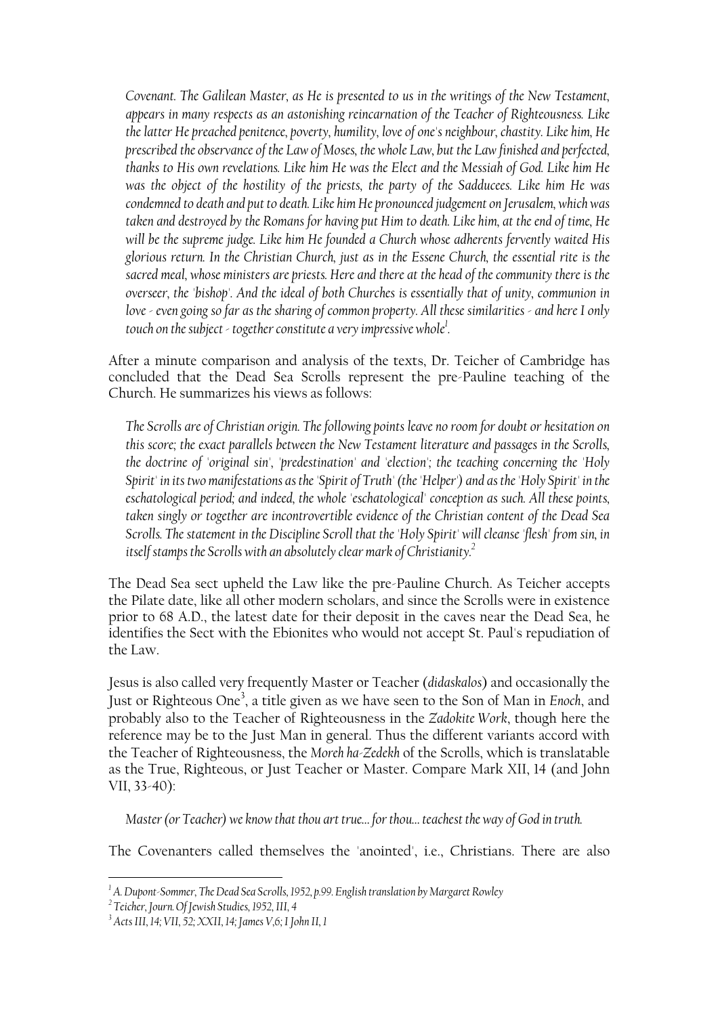*Covenant. The Galilean Master, as He is presented to us in the writings of the New Testament, appears in many respects as an astonishing reincarnation of the Teacher of Righteousness. Like the latter He preached penitence, poverty, humility, love of one's neighbour, chastity. Like him, He prescribed the observance of the Law of Moses, the whole Law, but the Law finished and perfected, thanks to His own revelations. Like him He was the Elect and the Messiah of God. Like him He was the object of the hostility of the priests, the party of the Sadducees. Like him He was condemned to death and put to death. Like him He pronounced judgement on Jerusalem, which was taken and destroyed by the Romans for having put Him to death. Like him, at the end of time, He will be the supreme judge. Like him He founded a Church whose adherents fervently waited His glorious return. In the Christian Church, just as in the Essene Church, the essential rite is the sacred meal, whose ministers are priests. Here and there at the head of the community there is the overseer, the 'bishop'. And the ideal of both Churches is essentially that of unity, communion in love - even going so far as the sharing of common property. All these similarities - and here I only touch on the subject - together constitute a very impressive whol[e1](#page-20-0) .* 

After a minute comparison and analysis of the texts, Dr. Teicher of Cambridge has concluded that the Dead Sea Scrolls represent the pre-Pauline teaching of the Church. He summarizes his views as follows:

*The Scrolls are of Christian origin. The following points leave no room for doubt or hesitation on this score; the exact parallels between the New Testament literature and passages in the Scrolls, the doctrine of 'original sin', 'predestination' and 'election'; the teaching concerning the 'Holy Spirit' in its two manifestations as the 'Spirit of Truth' (the 'Helper') and as the 'Holy Spirit' in the eschatological period; and indeed, the whole 'eschatological' conception as such. All these points, taken singly or together are incontrovertible evidence of the Christian content of the Dead Sea Scrolls. The statement in the Discipline Scroll that the 'Holy Spirit' will cleanse 'flesh' from sin, in itself stamps the Scrolls with an absolutely clear mark of Christianity[.2](#page-20-1)*

The Dead Sea sect upheld the Law like the pre-Pauline Church. As Teicher accepts the Pilate date, like all other modern scholars, and since the Scrolls were in existence prior to 68 A.D., the latest date for their deposit in the caves near the Dead Sea, he identifies the Sect with the Ebionites who would not accept St. Paul's repudiation of the Law.

Jesus is also called very frequently Master or Teacher (*didaskalos*) and occasionally the Just or Righteous On[e3](#page-20-2) , a title given as we have seen to the Son of Man in *Enoch*, and probably also to the Teacher of Righteousness in the *Zadokite Work*, though here the reference may be to the Just Man in general. Thus the different variants accord with the Teacher of Righteousness, the *Moreh ha-Zedekh* of the Scrolls, which is translatable as the True, Righteous, or Just Teacher or Master. Compare Mark XII, 14 (and John VII, 33-40):

*Master (or Teacher) we know that thou art true… for thou… teachest the way of God in truth.* 

The Covenanters called themselves the 'anointed', i.e., Christians. There are also

<span id="page-20-0"></span><sup>&</sup>lt;sup>1</sup> A. Dupont-Sommer, The Dead Sea Scrolls, 1952, p.99. English translation by Margaret Rowley<br><sup>2</sup> Teicher, Journ Of Invick Studies, 1952, HJ, 4

<span id="page-20-1"></span>*Teicher, Journ. Of Jewish Studies, 1952, III, 4* 

<span id="page-20-2"></span>*<sup>3</sup> Acts III, 14; VII, 52; XXII, 14; James V,6; I John II, 1*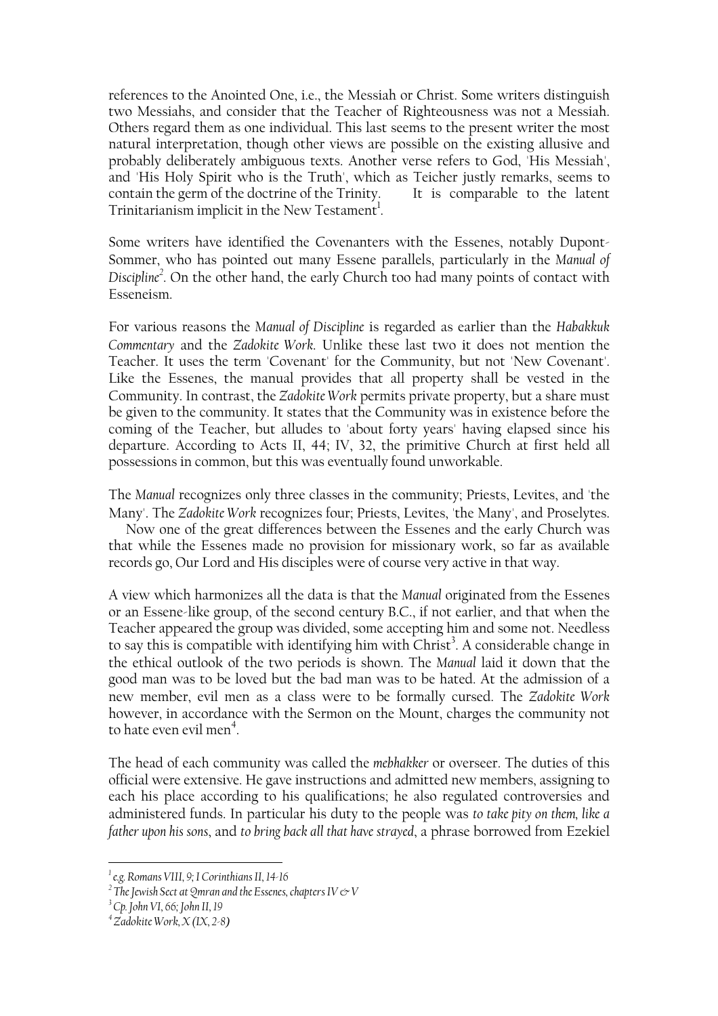references to the Anointed One, i.e., the Messiah or Christ. Some writers distinguish two Messiahs, and consider that the Teacher of Righteousness was not a Messiah. Others regard them as one individual. This last seems to the present writer the most natural interpretation, though other views are possible on the existing allusive and probably deliberately ambiguous texts. Another verse refers to God, 'His Messiah', and 'His Holy Spirit who is the Truth', which as Teicher justly remarks, seems to contain the germ of the doctrine of the Trinity. It is comparable to the latent Trinitarianism implicit in the New Testament<sup>1</sup>.

Some writers have identified the Covenanters with the Essenes, notably Dupont-Sommer, who has pointed out many Essene parallels, particularly in the *Manual of Disciplin[e2](#page-21-1)* . On the other hand, the early Church too had many points of contact with Esseneism.

For various reasons the *Manual of Discipline* is regarded as earlier than the *Habakkuk Commentary* and the *Zadokite Work*. Unlike these last two it does not mention the Teacher. It uses the term 'Covenant' for the Community, but not 'New Covenant'. Like the Essenes, the manual provides that all property shall be vested in the Community. In contrast, the *Zadokite Work* permits private property, but a share must be given to the community. It states that the Community was in existence before the coming of the Teacher, but alludes to 'about forty years' having elapsed since his departure. According to Acts II, 44; IV, 32, the primitive Church at first held all possessions in common, but this was eventually found unworkable.

The *Manual* recognizes only three classes in the community; Priests, Levites, and 'the Many'. The *Zadokite Work* recognizes four; Priests, Levites, 'the Many', and Proselytes.

 Now one of the great differences between the Essenes and the early Church was that while the Essenes made no provision for missionary work, so far as available records go, Our Lord and His disciples were of course very active in that way.

A view which harmonizes all the data is that the *Manual* originated from the Essenes or an Essene-like group, of the second century B.C., if not earlier, and that when the Teacher appeared the group was divided, some accepting him and some not. Needless to say this is compatible with identifying him with Christ<sup>[3](#page-21-2)</sup>. A considerable change in the ethical outlook of the two periods is shown. The *Manual* laid it down that the good man was to be loved but the bad man was to be hated. At the admission of a new member, evil men as a class were to be formally cursed. The *Zadokite Work* however, in accordance with the Sermon on the Mount, charges the community not to hate even evil men<sup>4</sup>.

The head of each community was called the *mebhakker* or overseer. The duties of this official were extensive. He gave instructions and admitted new members, assigning to each his place according to his qualifications; he also regulated controversies and administered funds. In particular his duty to the people was *to take pity on them, like a father upon his sons*, and *to bring back all that have strayed*, a phrase borrowed from Ezekiel

<span id="page-21-0"></span>*<sup>1</sup> e.g. Romans VIII, 9; I Corinthians II, 14-16* 

<span id="page-21-1"></span> $^2$  The Jewish Sect at Qmran and the Essenes, chapters IV  $\mathop{\rm {}C}\nolimits$  V

<span id="page-21-2"></span>*<sup>3</sup> Cp. John VI, 66; John II, 19* 

<span id="page-21-3"></span>*<sup>4</sup> Zadokite Work, X (IX, 2-8)*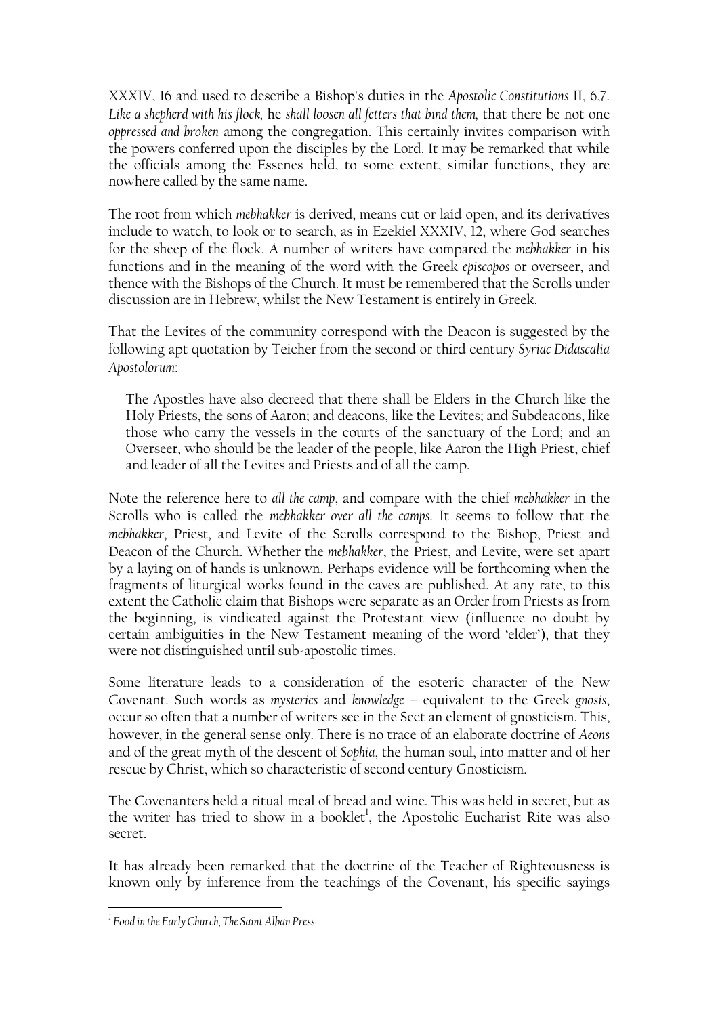XXXIV, 16 and used to describe a Bishop's duties in the *Apostolic Constitutions* II, 6,7. *Like a shepherd with his flock,* he *shall loosen all fetters that bind them,* that there be not one *oppressed and broken* among the congregation. This certainly invites comparison with the powers conferred upon the disciples by the Lord. It may be remarked that while the officials among the Essenes held, to some extent, similar functions, they are nowhere called by the same name.

The root from which *mebhakker* is derived, means cut or laid open, and its derivatives include to watch, to look or to search, as in Ezekiel XXXIV, 12, where God searches for the sheep of the flock. A number of writers have compared the *mebhakker* in his functions and in the meaning of the word with the Greek *episcopos* or overseer, and thence with the Bishops of the Church. It must be remembered that the Scrolls under discussion are in Hebrew, whilst the New Testament is entirely in Greek.

That the Levites of the community correspond with the Deacon is suggested by the following apt quotation by Teicher from the second or third century *Syriac Didascalia Apostolorum*:

The Apostles have also decreed that there shall be Elders in the Church like the Holy Priests, the sons of Aaron; and deacons, like the Levites; and Subdeacons, like those who carry the vessels in the courts of the sanctuary of the Lord; and an Overseer, who should be the leader of the people, like Aaron the High Priest, chief and leader of all the Levites and Priests and of all the camp.

Note the reference here to *all the camp*, and compare with the chief *mebhakker* in the Scrolls who is called the *mebhakker over all the camps*. It seems to follow that the *mebhakker*, Priest, and Levite of the Scrolls correspond to the Bishop, Priest and Deacon of the Church. Whether the *mebhakker*, the Priest, and Levite, were set apart by a laying on of hands is unknown. Perhaps evidence will be forthcoming when the fragments of liturgical works found in the caves are published. At any rate, to this extent the Catholic claim that Bishops were separate as an Order from Priests as from the beginning, is vindicated against the Protestant view (influence no doubt by certain ambiguities in the New Testament meaning of the word 'elder'), that they were not distinguished until sub-apostolic times.

Some literature leads to a consideration of the esoteric character of the New Covenant. Such words as *mysteries* and *knowledge* – equivalent to the Greek *gnosis*, occur so often that a number of writers see in the Sect an element of gnosticism. This, however, in the general sense only. There is no trace of an elaborate doctrine of *Aeons* and of the great myth of the descent of *Sophia*, the human soul, into matter and of her rescue by Christ, which so characteristic of second century Gnosticism.

The Covenanters held a ritual meal of bread and wine. This was held in secret, but as the writer has tried to show in a booklet<sup>1</sup>, the Apostolic Eucharist Rite was also secret.

It has already been remarked that the doctrine of the Teacher of Righteousness is known only by inference from the teachings of the Covenant, his specific sayings

<span id="page-22-0"></span>*<sup>1</sup> Food in the Early Church, The Saint Alban Press*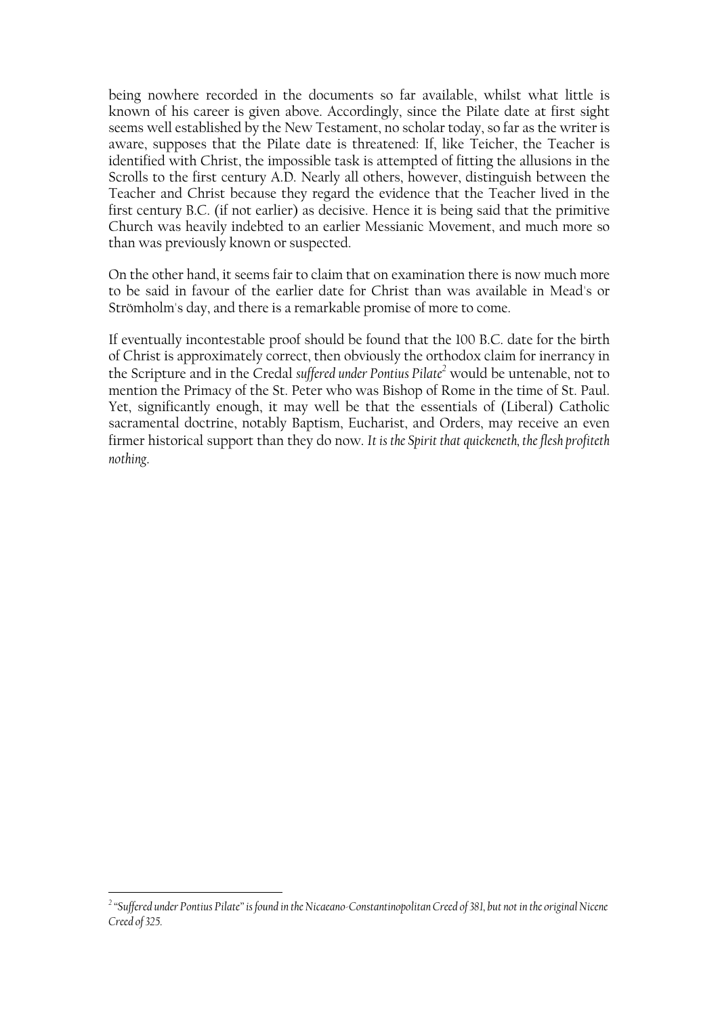being nowhere recorded in the documents so far available, whilst what little is known of his career is given above. Accordingly, since the Pilate date at first sight seems well established by the New Testament, no scholar today, so far as the writer is aware, supposes that the Pilate date is threatened: If, like Teicher, the Teacher is identified with Christ, the impossible task is attempted of fitting the allusions in the Scrolls to the first century A.D. Nearly all others, however, distinguish between the Teacher and Christ because they regard the evidence that the Teacher lived in the first century B.C. (if not earlier) as decisive. Hence it is being said that the primitive Church was heavily indebted to an earlier Messianic Movement, and much more so than was previously known or suspected.

On the other hand, it seems fair to claim that on examination there is now much more to be said in favour of the earlier date for Christ than was available in Mead's or Strömholm's day, and there is a remarkable promise of more to come.

If eventually incontestable proof should be found that the 100 B.C. date for the birth of Christ is approximately correct, then obviously the orthodox claim for inerrancy in the Scripture and in the Credal *suffered under Pontius Pilat[e2](#page-23-0)* would be untenable, not to mention the Primacy of the St. Peter who was Bishop of Rome in the time of St. Paul. Yet, significantly enough, it may well be that the essentials of (Liberal) Catholic sacramental doctrine, notably Baptism, Eucharist, and Orders, may receive an even firmer historical support than they do now. *It is the Spirit that quickeneth, the flesh profiteth nothing*.

<span id="page-23-0"></span><sup>&</sup>lt;sup>2</sup> "Suffered under Pontius Pilate" is found in the Nicaeano-Constantinopolitan Creed of 381, but not in the original Nicene *Creed of 325.*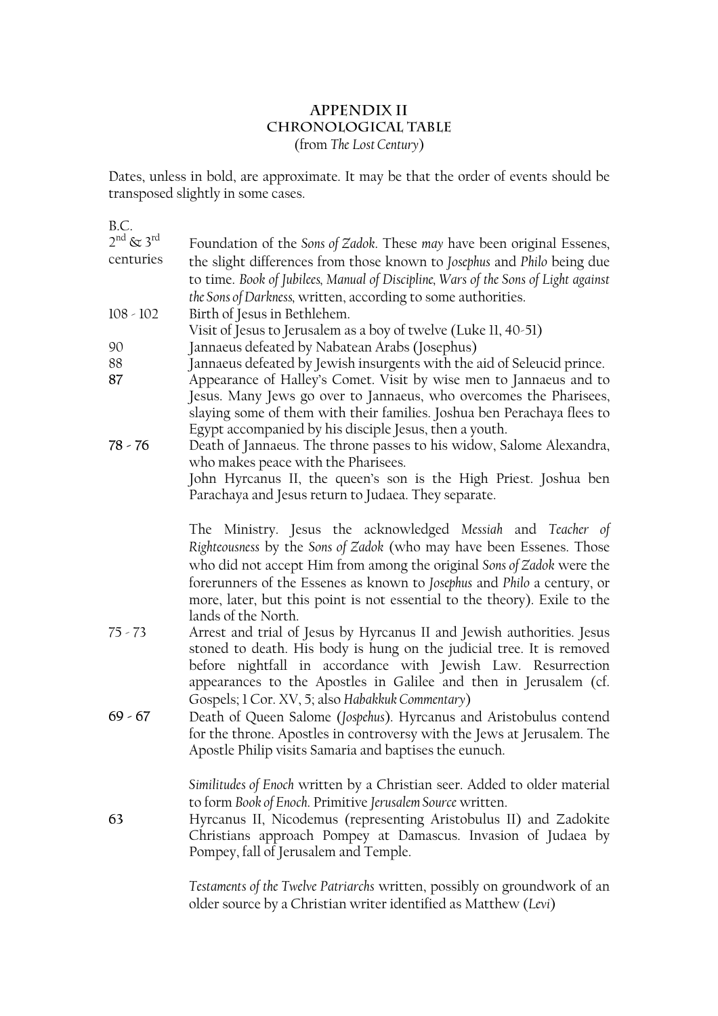# **Appendix II Chronological Table**  (from *The Lost Century*)

Dates, unless in bold, are approximate. It may be that the order of events should be transposed slightly in some cases.

 $R \cap$ 

| D.V.                             |                                                                                                                                                                                                                                                                                                                                                                                             |
|----------------------------------|---------------------------------------------------------------------------------------------------------------------------------------------------------------------------------------------------------------------------------------------------------------------------------------------------------------------------------------------------------------------------------------------|
| $2^{nd}$ & $3^{rd}$<br>centuries | Foundation of the Sons of Zadok. These may have been original Essenes,<br>the slight differences from those known to Josephus and Philo being due                                                                                                                                                                                                                                           |
|                                  | to time. Book of Jubilees, Manual of Discipline, Wars of the Sons of Light against                                                                                                                                                                                                                                                                                                          |
|                                  | the Sons of Darkness, written, according to some authorities.                                                                                                                                                                                                                                                                                                                               |
| $108 - 102$                      | Birth of Jesus in Bethlehem.                                                                                                                                                                                                                                                                                                                                                                |
|                                  | Visit of Jesus to Jerusalem as a boy of twelve (Luke II, 40-51)                                                                                                                                                                                                                                                                                                                             |
| 90                               | Jannaeus defeated by Nabatean Arabs (Josephus)                                                                                                                                                                                                                                                                                                                                              |
| 88<br>87                         | Jannaeus defeated by Jewish insurgents with the aid of Seleucid prince.<br>Appearance of Halley's Comet. Visit by wise men to Jannaeus and to<br>Jesus. Many Jews go over to Jannaeus, who overcomes the Pharisees,<br>slaying some of them with their families. Joshua ben Perachaya flees to<br>Egypt accompanied by his disciple Jesus, then a youth.                                    |
| $78 - 76$                        | Death of Jannaeus. The throne passes to his widow, Salome Alexandra,<br>who makes peace with the Pharisees.                                                                                                                                                                                                                                                                                 |
|                                  | John Hyrcanus II, the queen's son is the High Priest. Joshua ben<br>Parachaya and Jesus return to Judaea. They separate.                                                                                                                                                                                                                                                                    |
|                                  | The Ministry. Jesus the acknowledged Messiah and Teacher of<br>Righteousness by the Sons of Zadok (who may have been Essenes. Those<br>who did not accept Him from among the original Sons of Zadok were the<br>forerunners of the Essenes as known to Josephus and Philo a century, or<br>more, later, but this point is not essential to the theory). Exile to the<br>lands of the North. |
| $75 - 73$                        | Arrest and trial of Jesus by Hyrcanus II and Jewish authorities. Jesus<br>stoned to death. His body is hung on the judicial tree. It is removed<br>before nightfall in accordance with Jewish Law. Resurrection<br>appearances to the Apostles in Galilee and then in Jerusalem (cf.<br>Gospels; 1 Cor. XV, 5; also Habakkuk Commentary)                                                    |
| $69 - 67$                        | Death of Queen Salome (Jospehus). Hyrcanus and Aristobulus contend<br>for the throne. Apostles in controversy with the Jews at Jerusalem. The<br>Apostle Philip visits Samaria and baptises the eunuch.                                                                                                                                                                                     |
| 63                               | Similitudes of Enoch written by a Christian seer. Added to older material<br>to form Book of Enoch. Primitive Jerusalem Source written.<br>Hyrcanus II, Nicodemus (representing Aristobulus II) and Zadokite<br>Christians approach Pompey at Damascus. Invasion of Judaea by<br>Pompey, fall of Jerusalem and Temple.                                                                      |
|                                  | Testaments of the Twelve Patriarchs written, possibly on groundwork of an                                                                                                                                                                                                                                                                                                                   |

*Testaments of the Twelve Patriarchs* written, possibly on groundwork of an older source by a Christian writer identified as Matthew (*Levi*)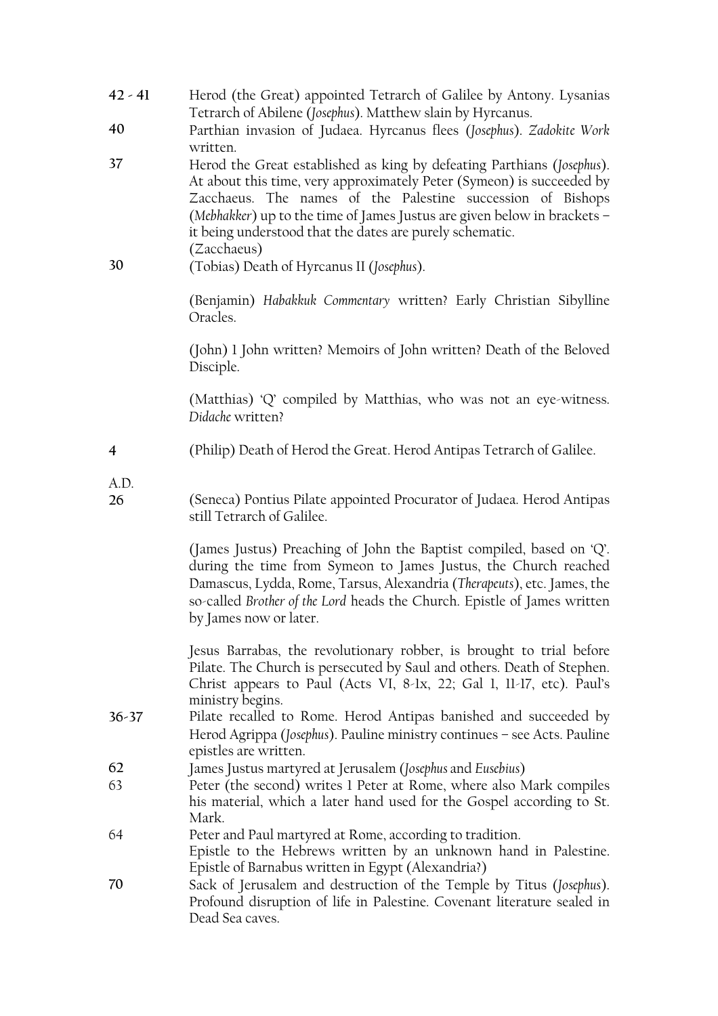| $42 - 41$      | Herod (the Great) appointed Tetrarch of Galilee by Antony. Lysanias<br>Tetrarch of Abilene (Josephus). Matthew slain by Hyrcanus.                                                                                                                                                                                                                                     |
|----------------|-----------------------------------------------------------------------------------------------------------------------------------------------------------------------------------------------------------------------------------------------------------------------------------------------------------------------------------------------------------------------|
| 40             | Parthian invasion of Judaea. Hyrcanus flees (Josephus). Zadokite Work<br>written.                                                                                                                                                                                                                                                                                     |
| 37             | Herod the Great established as king by defeating Parthians (Josephus).<br>At about this time, very approximately Peter (Symeon) is succeeded by<br>Zacchaeus. The names of the Palestine succession of Bishops<br>(Mebhakker) up to the time of James Justus are given below in brackets -<br>it being understood that the dates are purely schematic.<br>(Zacchaeus) |
| 30             | (Tobias) Death of Hyrcanus II (Josephus).                                                                                                                                                                                                                                                                                                                             |
|                | (Benjamin) Habakkuk Commentary written? Early Christian Sibylline<br>Oracles.                                                                                                                                                                                                                                                                                         |
|                | (John) 1 John written? Memoirs of John written? Death of the Beloved<br>Disciple.                                                                                                                                                                                                                                                                                     |
|                | (Matthias) 'Q' compiled by Matthias, who was not an eye-witness.<br>Didache written?                                                                                                                                                                                                                                                                                  |
| $\overline{4}$ | (Philip) Death of Herod the Great. Herod Antipas Tetrarch of Galilee.                                                                                                                                                                                                                                                                                                 |
| A.D.           |                                                                                                                                                                                                                                                                                                                                                                       |
| 26             | (Seneca) Pontius Pilate appointed Procurator of Judaea. Herod Antipas<br>still Tetrarch of Galilee.                                                                                                                                                                                                                                                                   |
|                | (James Justus) Preaching of John the Baptist compiled, based on 'Q'.<br>during the time from Symeon to James Justus, the Church reached<br>Damascus, Lydda, Rome, Tarsus, Alexandria (Therapeuts), etc. James, the<br>so-called Brother of the Lord heads the Church. Epistle of James written<br>by James now or later.                                              |
|                | Jesus Barrabas, the revolutionary robber, is brought to trial before<br>Pilate. The Church is persecuted by Saul and others. Death of Stephen.<br>Christ appears to Paul (Acts VI, 8-1x, 22; Gal 1, 11-17, etc). Paul's<br>ministry begins.                                                                                                                           |
| $36 - 37$      | Pilate recalled to Rome. Herod Antipas banished and succeeded by<br>Herod Agrippa (Josephus). Pauline ministry continues - see Acts. Pauline<br>epistles are written.                                                                                                                                                                                                 |
| 62             | James Justus martyred at Jerusalem (Josephus and Eusebius)                                                                                                                                                                                                                                                                                                            |
| 63             | Peter (the second) writes 1 Peter at Rome, where also Mark compiles<br>his material, which a later hand used for the Gospel according to St.<br>Mark.                                                                                                                                                                                                                 |
| 64             | Peter and Paul martyred at Rome, according to tradition.<br>Epistle to the Hebrews written by an unknown hand in Palestine.<br>Epistle of Barnabus written in Egypt (Alexandria?)                                                                                                                                                                                     |
| 70             | Sack of Jerusalem and destruction of the Temple by Titus (Josephus).<br>Profound disruption of life in Palestine. Covenant literature sealed in<br>Dead Sea caves.                                                                                                                                                                                                    |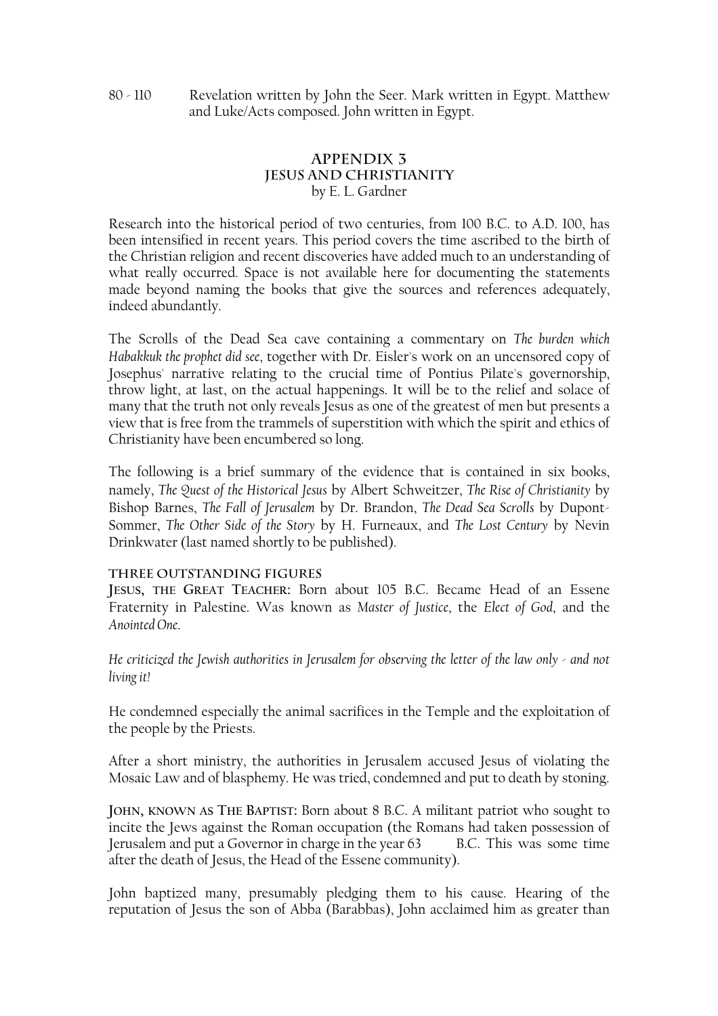# **APPENDIX 3 JESUS AND CHRISTIANITY** by E. L. Gardner

Research into the historical period of two centuries, from 100 B.C. to A.D. 100, has been intensified in recent years. This period covers the time ascribed to the birth of the Christian religion and recent discoveries have added much to an understanding of what really occurred. Space is not available here for documenting the statements made beyond naming the books that give the sources and references adequately, indeed abundantly.

The Scrolls of the Dead Sea cave containing a commentary on *The burden which Habakkuk the prophet did see*, together with Dr. Eisler's work on an uncensored copy of Josephus' narrative relating to the crucial time of Pontius Pilate's governorship, throw light, at last, on the actual happenings. It will be to the relief and solace of many that the truth not only reveals Jesus as one of the greatest of men but presents a view that is free from the trammels of superstition with which the spirit and ethics of Christianity have been encumbered so long.

The following is a brief summary of the evidence that is contained in six books, namely, *The Quest of the Historical Jesus* by Albert Schweitzer, *The Rise of Christianity* by Bishop Barnes, *The Fall of Jerusalem* by Dr. Brandon, *The Dead Sea Scrolls* by Dupont-Sommer, *The Other Side of the Story* by H. Furneaux, and *The Lost Century* by Nevin Drinkwater (last named shortly to be published).

# **THREE OUTSTANDING FIGURES**

**JESUS, THE GREAT TEACHER:** Born about 105 B.C. Became Head of an Essene Fraternity in Palestine. Was known as *Master of Justice*, the *Elect of God*, and the *Anointed One*.

*He criticized the Jewish authorities in Jerusalem for observing the letter of the law only - and not living it!* 

He condemned especially the animal sacrifices in the Temple and the exploitation of the people by the Priests.

After a short ministry, the authorities in Jerusalem accused Jesus of violating the Mosaic Law and of blasphemy. He was tried, condemned and put to death by stoning.

**JOHN, KNOWN AS THE BAPTIST:** Born about 8 B.C. A militant patriot who sought to incite the Jews against the Roman occupation (the Romans had taken possession of Jerusalem and put a Governor in charge in the year 63 B.C. This was some time after the death of Jesus, the Head of the Essene community).

John baptized many, presumably pledging them to his cause. Hearing of the reputation of Jesus the son of Abba (Barabbas), John acclaimed him as greater than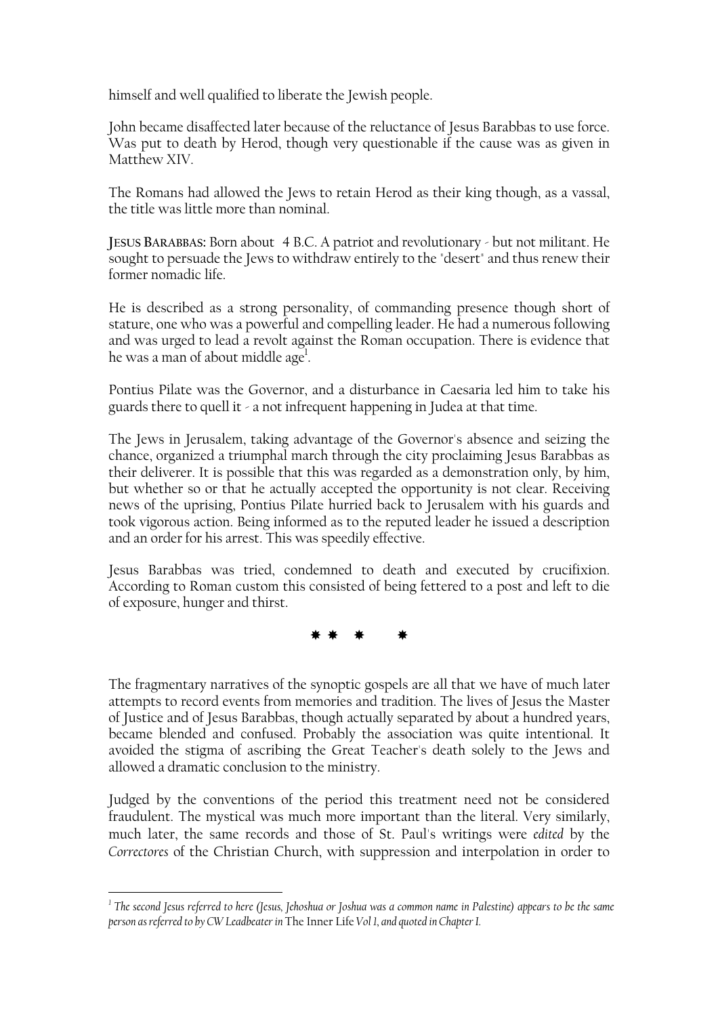himself and well qualified to liberate the Jewish people.

John became disaffected later because of the reluctance of Jesus Barabbas to use force. Was put to death by Herod, though very questionable if the cause was as given in Matthew XIV.

The Romans had allowed the Jews to retain Herod as their king though, as a vassal, the title was little more than nominal.

**JESUS BARABBAS:** Born about 4 B.C. A patriot and revolutionary - but not militant. He sought to persuade the Jews to withdraw entirely to the "desert" and thus renew their former nomadic life.

He is described as a strong personality, of commanding presence though short of stature, one who was a powerful and compelling leader. He had a numerous following and was urged to lead a revolt against the Roman occupation. There is evidence that he was a man of about middle age<sup>1</sup>.

Pontius Pilate was the Governor, and a disturbance in Caesaria led him to take his guards there to quell it - a not infrequent happening in Judea at that time.

The Jews in Jerusalem, taking advantage of the Governor's absence and seizing the chance, organized a triumphal march through the city proclaiming Jesus Barabbas as their deliverer. It is possible that this was regarded as a demonstration only, by him, but whether so or that he actually accepted the opportunity is not clear. Receiving news of the uprising, Pontius Pilate hurried back to Jerusalem with his guards and took vigorous action. Being informed as to the reputed leader he issued a description and an order for his arrest. This was speedily effective.

Jesus Barabbas was tried, condemned to death and executed by crucifixion. According to Roman custom this consisted of being fettered to a post and left to die of exposure, hunger and thirst.

\* \* \* \*

The fragmentary narratives of the synoptic gospels are all that we have of much later attempts to record events from memories and tradition. The lives of Jesus the Master of Justice and of Jesus Barabbas, though actually separated by about a hundred years, became blended and confused. Probably the association was quite intentional. It avoided the stigma of ascribing the Great Teacher's death solely to the Jews and allowed a dramatic conclusion to the ministry.

Judged by the conventions of the period this treatment need not be considered fraudulent. The mystical was much more important than the literal. Very similarly, much later, the same records and those of St. Paul's writings were *edited* by the *Correctores* of the Christian Church, with suppression and interpolation in order to

<span id="page-27-0"></span>*<sup>1</sup> The second Jesus referred to here (Jesus, Jehoshua or Joshua was a common name in Palestine) appears to be the same person as referred to by CW Leadbeater in* The Inner Life *Vol 1, and quoted in Chapter I.*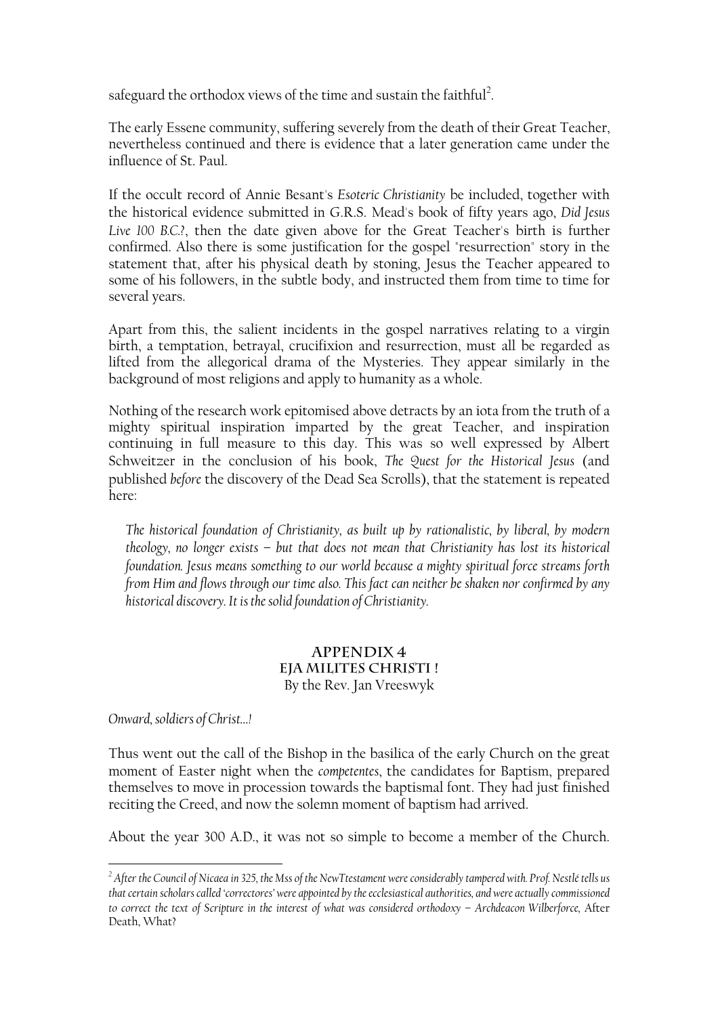safeguard the orthodox views of the time and sustain the faithful<sup>2</sup>.

The early Essene community, suffering severely from the death of their Great Teacher, nevertheless continued and there is evidence that a later generation came under the influence of St. Paul.

If the occult record of Annie Besant's *Esoteric Christianity* be included, together with the historical evidence submitted in G.R.S. Mead's book of fifty years ago, *Did Jesus Live 100 B.C.?*, then the date given above for the Great Teacher's birth is further confirmed. Also there is some justification for the gospel "resurrection" story in the statement that, after his physical death by stoning, Jesus the Teacher appeared to some of his followers, in the subtle body, and instructed them from time to time for several years.

Apart from this, the salient incidents in the gospel narratives relating to a virgin birth, a temptation, betrayal, crucifixion and resurrection, must all be regarded as lifted from the allegorical drama of the Mysteries. They appear similarly in the background of most religions and apply to humanity as a whole.

Nothing of the research work epitomised above detracts by an iota from the truth of a mighty spiritual inspiration imparted by the great Teacher, and inspiration continuing in full measure to this day. This was so well expressed by Albert Schweitzer in the conclusion of his book, *The Quest for the Historical Jesus* (and published *before* the discovery of the Dead Sea Scrolls), that the statement is repeated here:

*The historical foundation of Christianity, as built up by rationalistic, by liberal, by modern theology, no longer exists – but that does not mean that Christianity has lost its historical foundation. Jesus means something to our world because a mighty spiritual force streams forth from Him and flows through our time also. This fact can neither be shaken nor confirmed by any historical discovery. It is the solid foundation of Christianity.* 

## **Appendix 4 Eja Milites Christi !**  By the Rev. Jan Vreeswyk

*Onward, soldiers of Christ…!* 

 $\overline{a}$ 

Thus went out the call of the Bishop in the basilica of the early Church on the great moment of Easter night when the *competentes*, the candidates for Baptism, prepared themselves to move in procession towards the baptismal font. They had just finished reciting the Creed, and now the solemn moment of baptism had arrived.

About the year 300 A.D., it was not so simple to become a member of the Church.

<span id="page-28-0"></span>*<sup>2</sup> After the Council of Nicaea in 325, the Mss of the NewTtestament were considerably tampered with. Prof. Nestlé tells us that certain scholars called 'correctores' were appointed by the ecclesiastical authorities, and were actually commissioned to correct the text of Scripture in the interest of what was considered orthodoxy – Archdeacon Wilberforce,* After Death, What?